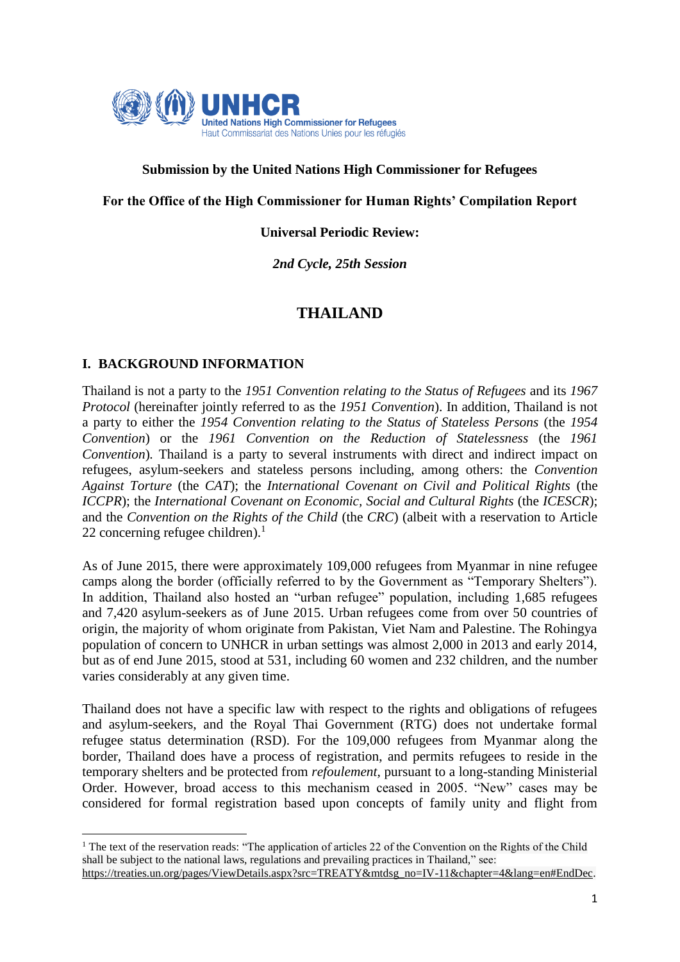

# **Submission by the United Nations High Commissioner for Refugees**

# **For the Office of the High Commissioner for Human Rights' Compilation Report**

# **Universal Periodic Review:**

*2nd Cycle, 25th Session*

# **THAILAND**

# **I. BACKGROUND INFORMATION**

1

Thailand is not a party to the *1951 Convention relating to the Status of Refugees* and its *1967 Protocol* (hereinafter jointly referred to as the *1951 Convention*). In addition, Thailand is not a party to either the *1954 Convention relating to the Status of Stateless Persons* (the *1954 Convention*) or the *1961 Convention on the Reduction of Statelessness* (the *1961 Convention*). Thailand is a party to several instruments with direct and indirect impact on refugees, asylum-seekers and stateless persons including, among others: the *Convention Against Torture* (the *CAT*); the *International Covenant on Civil and Political Rights* (the *ICCPR*); the *International Covenant on Economic, Social and Cultural Rights* (the *ICESCR*); and the *Convention on the Rights of the Child* (the *CRC*) (albeit with a reservation to Article 22 concerning refugee children). $<sup>1</sup>$ </sup>

As of June 2015, there were approximately 109,000 refugees from Myanmar in nine refugee camps along the border (officially referred to by the Government as "Temporary Shelters"). In addition, Thailand also hosted an "urban refugee" population, including 1,685 refugees and 7,420 asylum-seekers as of June 2015. Urban refugees come from over 50 countries of origin, the majority of whom originate from Pakistan, Viet Nam and Palestine. The Rohingya population of concern to UNHCR in urban settings was almost 2,000 in 2013 and early 2014, but as of end June 2015, stood at 531, including 60 women and 232 children, and the number varies considerably at any given time.

Thailand does not have a specific law with respect to the rights and obligations of refugees and asylum-seekers, and the Royal Thai Government (RTG) does not undertake formal refugee status determination (RSD). For the 109,000 refugees from Myanmar along the border, Thailand does have a process of registration, and permits refugees to reside in the temporary shelters and be protected from *refoulement*, pursuant to a long-standing Ministerial Order. However, broad access to this mechanism ceased in 2005. "New" cases may be considered for formal registration based upon concepts of family unity and flight from

<sup>&</sup>lt;sup>1</sup> The text of the reservation reads: "The application of articles 22 of the Convention on the Rights of the Child shall be subject to the national laws, regulations and prevailing practices in Thailand," see: [https://treaties.un.org/pages/ViewDetails.aspx?src=TREATY&mtdsg\\_no=IV-11&chapter=4&lang=en#EndDec.](https://treaties.un.org/pages/ViewDetails.aspx?src=TREATY&mtdsg_no=IV-11&chapter=4&lang=en#EndDec)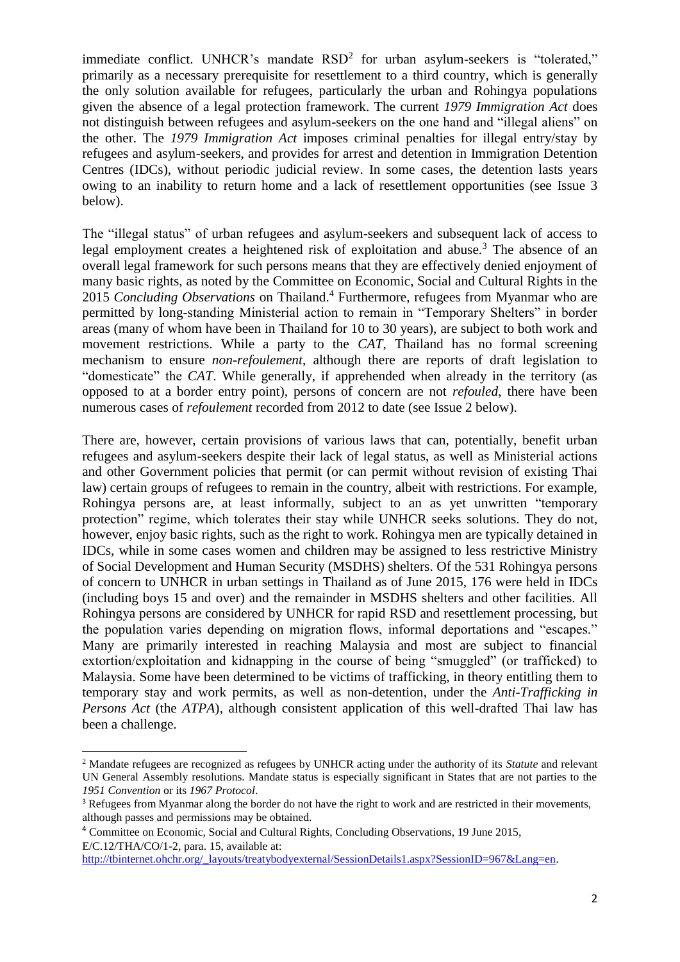immediate conflict. UNHCR's mandate RSD<sup>2</sup> for urban asylum-seekers is "tolerated," primarily as a necessary prerequisite for resettlement to a third country, which is generally the only solution available for refugees, particularly the urban and Rohingya populations given the absence of a legal protection framework. The current *1979 Immigration Act* does not distinguish between refugees and asylum-seekers on the one hand and "illegal aliens" on the other. The *1979 Immigration Act* imposes criminal penalties for illegal entry/stay by refugees and asylum-seekers, and provides for arrest and detention in Immigration Detention Centres (IDCs), without periodic judicial review. In some cases, the detention lasts years owing to an inability to return home and a lack of resettlement opportunities (see Issue 3 below).

The "illegal status" of urban refugees and asylum-seekers and subsequent lack of access to legal employment creates a heightened risk of exploitation and abuse.<sup>3</sup> The absence of an overall legal framework for such persons means that they are effectively denied enjoyment of many basic rights, as noted by the Committee on Economic, Social and Cultural Rights in the 2015 *Concluding Observations* on Thailand. <sup>4</sup> Furthermore, refugees from Myanmar who are permitted by long-standing Ministerial action to remain in "Temporary Shelters" in border areas (many of whom have been in Thailand for 10 to 30 years), are subject to both work and movement restrictions. While a party to the *CAT*, Thailand has no formal screening mechanism to ensure *non-refoulement*, although there are reports of draft legislation to "domesticate" the *CAT*. While generally, if apprehended when already in the territory (as opposed to at a border entry point), persons of concern are not *refouled*, there have been numerous cases of *refoulement* recorded from 2012 to date (see Issue 2 below).

There are, however, certain provisions of various laws that can, potentially, benefit urban refugees and asylum-seekers despite their lack of legal status, as well as Ministerial actions and other Government policies that permit (or can permit without revision of existing Thai law) certain groups of refugees to remain in the country, albeit with restrictions. For example, Rohingya persons are, at least informally, subject to an as yet unwritten "temporary protection" regime, which tolerates their stay while UNHCR seeks solutions. They do not, however, enjoy basic rights, such as the right to work. Rohingya men are typically detained in IDCs, while in some cases women and children may be assigned to less restrictive Ministry of Social Development and Human Security (MSDHS) shelters. Of the 531 Rohingya persons of concern to UNHCR in urban settings in Thailand as of June 2015, 176 were held in IDCs (including boys 15 and over) and the remainder in MSDHS shelters and other facilities. All Rohingya persons are considered by UNHCR for rapid RSD and resettlement processing, but the population varies depending on migration flows, informal deportations and "escapes." Many are primarily interested in reaching Malaysia and most are subject to financial extortion/exploitation and kidnapping in the course of being "smuggled" (or trafficked) to Malaysia. Some have been determined to be victims of trafficking, in theory entitling them to temporary stay and work permits, as well as non-detention, under the *Anti-Trafficking in Persons Act* (the *ATPA*), although consistent application of this well-drafted Thai law has been a challenge.

1

<sup>2</sup> Mandate refugees are recognized as refugees by UNHCR acting under the authority of its *Statute* and relevant UN General Assembly resolutions. Mandate status is especially significant in States that are not parties to the *1951 Convention* or its *1967 Protocol*.

<sup>&</sup>lt;sup>3</sup> Refugees from Myanmar along the border do not have the right to work and are restricted in their movements, although passes and permissions may be obtained.

<sup>4</sup> Committee on Economic, Social and Cultural Rights, Concluding Observations, 19 June 2015, E/C.12/THA/CO/1-2, para. 15, available at:

[http://tbinternet.ohchr.org/\\_layouts/treatybodyexternal/SessionDetails1.aspx?SessionID=967&Lang=en.](http://tbinternet.ohchr.org/_layouts/treatybodyexternal/SessionDetails1.aspx?SessionID=967&Lang=en)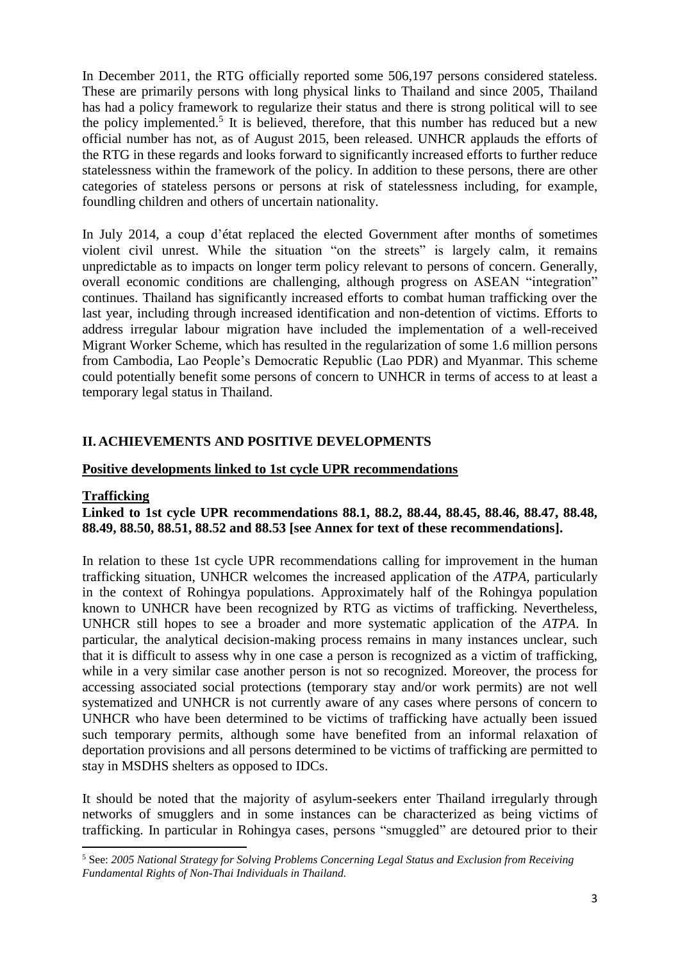In December 2011, the RTG officially reported some 506,197 persons considered stateless. These are primarily persons with long physical links to Thailand and since 2005, Thailand has had a policy framework to regularize their status and there is strong political will to see the policy implemented.<sup>5</sup> It is believed, therefore, that this number has reduced but a new official number has not, as of August 2015, been released. UNHCR applauds the efforts of the RTG in these regards and looks forward to significantly increased efforts to further reduce statelessness within the framework of the policy. In addition to these persons, there are other categories of stateless persons or persons at risk of statelessness including, for example, foundling children and others of uncertain nationality.

In July 2014, a coup d'état replaced the elected Government after months of sometimes violent civil unrest. While the situation "on the streets" is largely calm, it remains unpredictable as to impacts on longer term policy relevant to persons of concern. Generally, overall economic conditions are challenging, although progress on ASEAN "integration" continues. Thailand has significantly increased efforts to combat human trafficking over the last year, including through increased identification and non-detention of victims. Efforts to address irregular labour migration have included the implementation of a well-received Migrant Worker Scheme, which has resulted in the regularization of some 1.6 million persons from Cambodia, Lao People's Democratic Republic (Lao PDR) and Myanmar. This scheme could potentially benefit some persons of concern to UNHCR in terms of access to at least a temporary legal status in Thailand.

# **II. ACHIEVEMENTS AND POSITIVE DEVELOPMENTS**

# **Positive developments linked to 1st cycle UPR recommendations**

#### **Trafficking**

**Linked to 1st cycle UPR recommendations 88.1, 88.2, 88.44, 88.45, 88.46, 88.47, 88.48, 88.49, 88.50, 88.51, 88.52 and 88.53 [see Annex for text of these recommendations].**

In relation to these 1st cycle UPR recommendations calling for improvement in the human trafficking situation, UNHCR welcomes the increased application of the *ATPA,* particularly in the context of Rohingya populations. Approximately half of the Rohingya population known to UNHCR have been recognized by RTG as victims of trafficking. Nevertheless, UNHCR still hopes to see a broader and more systematic application of the *ATPA*. In particular, the analytical decision-making process remains in many instances unclear, such that it is difficult to assess why in one case a person is recognized as a victim of trafficking, while in a very similar case another person is not so recognized. Moreover, the process for accessing associated social protections (temporary stay and/or work permits) are not well systematized and UNHCR is not currently aware of any cases where persons of concern to UNHCR who have been determined to be victims of trafficking have actually been issued such temporary permits, although some have benefited from an informal relaxation of deportation provisions and all persons determined to be victims of trafficking are permitted to stay in MSDHS shelters as opposed to IDCs.

It should be noted that the majority of asylum-seekers enter Thailand irregularly through networks of smugglers and in some instances can be characterized as being victims of trafficking. In particular in Rohingya cases, persons "smuggled" are detoured prior to their

**<sup>.</sup>** <sup>5</sup> See: *2005 National Strategy for Solving Problems Concerning Legal Status and Exclusion from Receiving Fundamental Rights of Non-Thai Individuals in Thailand.*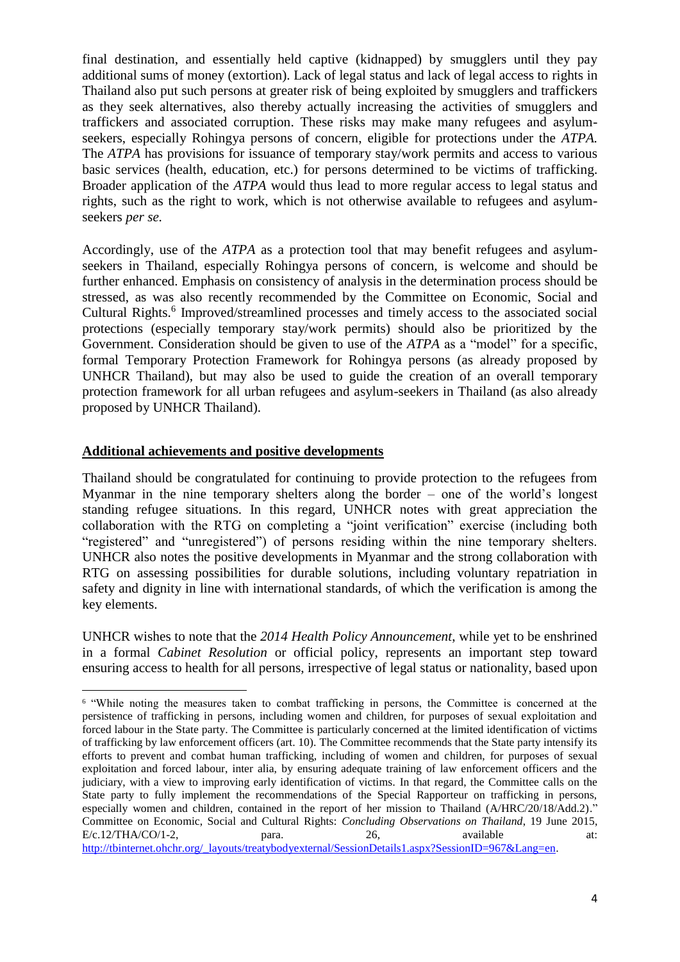final destination, and essentially held captive (kidnapped) by smugglers until they pay additional sums of money (extortion). Lack of legal status and lack of legal access to rights in Thailand also put such persons at greater risk of being exploited by smugglers and traffickers as they seek alternatives, also thereby actually increasing the activities of smugglers and traffickers and associated corruption. These risks may make many refugees and asylumseekers, especially Rohingya persons of concern, eligible for protections under the *ATPA.*  The *ATPA* has provisions for issuance of temporary stay/work permits and access to various basic services (health, education, etc.) for persons determined to be victims of trafficking. Broader application of the *ATPA* would thus lead to more regular access to legal status and rights, such as the right to work, which is not otherwise available to refugees and asylumseekers *per se.* 

Accordingly, use of the *ATPA* as a protection tool that may benefit refugees and asylumseekers in Thailand, especially Rohingya persons of concern, is welcome and should be further enhanced. Emphasis on consistency of analysis in the determination process should be stressed, as was also recently recommended by the Committee on Economic, Social and Cultural Rights.<sup>6</sup> Improved/streamlined processes and timely access to the associated social protections (especially temporary stay/work permits) should also be prioritized by the Government. Consideration should be given to use of the *ATPA* as a "model" for a specific, formal Temporary Protection Framework for Rohingya persons (as already proposed by UNHCR Thailand), but may also be used to guide the creation of an overall temporary protection framework for all urban refugees and asylum-seekers in Thailand (as also already proposed by UNHCR Thailand).

#### **Additional achievements and positive developments**

**.** 

Thailand should be congratulated for continuing to provide protection to the refugees from Myanmar in the nine temporary shelters along the border – one of the world's longest standing refugee situations. In this regard, UNHCR notes with great appreciation the collaboration with the RTG on completing a "joint verification" exercise (including both "registered" and "unregistered") of persons residing within the nine temporary shelters. UNHCR also notes the positive developments in Myanmar and the strong collaboration with RTG on assessing possibilities for durable solutions, including voluntary repatriation in safety and dignity in line with international standards, of which the verification is among the key elements.

UNHCR wishes to note that the *2014 Health Policy Announcement*, while yet to be enshrined in a formal *Cabinet Resolution* or official policy, represents an important step toward ensuring access to health for all persons, irrespective of legal status or nationality, based upon

<sup>6</sup> "While noting the measures taken to combat trafficking in persons, the Committee is concerned at the persistence of trafficking in persons, including women and children, for purposes of sexual exploitation and forced labour in the State party. The Committee is particularly concerned at the limited identification of victims of trafficking by law enforcement officers (art. 10). The Committee recommends that the State party intensify its efforts to prevent and combat human trafficking, including of women and children, for purposes of sexual exploitation and forced labour, inter alia, by ensuring adequate training of law enforcement officers and the judiciary, with a view to improving early identification of victims*.* In that regard, the Committee calls on the State party to fully implement the recommendations of the Special Rapporteur on trafficking in persons, especially women and children, contained in the report of her mission to Thailand (A/HRC/20/18/Add.2)." Committee on Economic, Social and Cultural Rights: *Concluding Observations on Thailand*, 19 June 2015,  $E/c.12/THA/CO/1-2$ , para. 26, available at: [http://tbinternet.ohchr.org/\\_layouts/treatybodyexternal/SessionDetails1.aspx?SessionID=967&Lang=en.](http://tbinternet.ohchr.org/_layouts/treatybodyexternal/SessionDetails1.aspx?SessionID=967&Lang=en)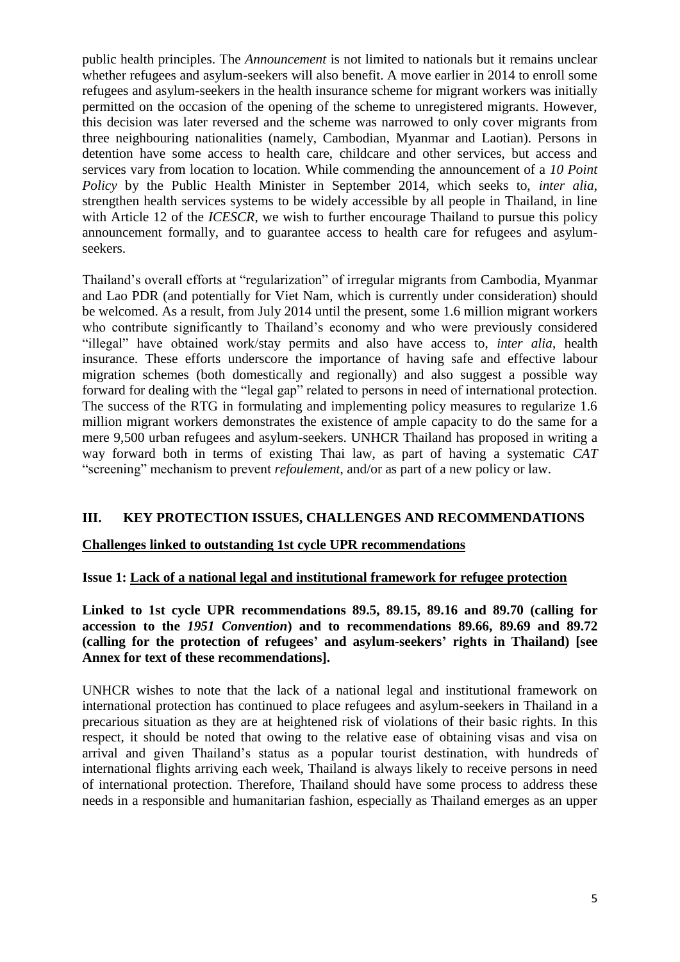public health principles. The *Announcement* is not limited to nationals but it remains unclear whether refugees and asylum-seekers will also benefit. A move earlier in 2014 to enroll some refugees and asylum-seekers in the health insurance scheme for migrant workers was initially permitted on the occasion of the opening of the scheme to unregistered migrants. However, this decision was later reversed and the scheme was narrowed to only cover migrants from three neighbouring nationalities (namely, Cambodian, Myanmar and Laotian). Persons in detention have some access to health care, childcare and other services, but access and services vary from location to location. While commending the announcement of a *10 Point Policy* by the Public Health Minister in September 2014, which seeks to, *inter alia*, strengthen health services systems to be widely accessible by all people in Thailand, in line with Article 12 of the *ICESCR*, we wish to further encourage Thailand to pursue this policy announcement formally, and to guarantee access to health care for refugees and asylumseekers.

Thailand's overall efforts at "regularization" of irregular migrants from Cambodia, Myanmar and Lao PDR (and potentially for Viet Nam, which is currently under consideration) should be welcomed. As a result, from July 2014 until the present, some 1.6 million migrant workers who contribute significantly to Thailand's economy and who were previously considered "illegal" have obtained work/stay permits and also have access to, *inter alia*, health insurance. These efforts underscore the importance of having safe and effective labour migration schemes (both domestically and regionally) and also suggest a possible way forward for dealing with the "legal gap" related to persons in need of international protection. The success of the RTG in formulating and implementing policy measures to regularize 1.6 million migrant workers demonstrates the existence of ample capacity to do the same for a mere 9,500 urban refugees and asylum-seekers. UNHCR Thailand has proposed in writing a way forward both in terms of existing Thai law, as part of having a systematic *CAT*  "screening" mechanism to prevent *refoulement*, and/or as part of a new policy or law.

#### **III. KEY PROTECTION ISSUES, CHALLENGES AND RECOMMENDATIONS**

#### **Challenges linked to outstanding 1st cycle UPR recommendations**

#### **Issue 1: Lack of a national legal and institutional framework for refugee protection**

**Linked to 1st cycle UPR recommendations 89.5, 89.15, 89.16 and 89.70 (calling for accession to the** *1951 Convention***) and to recommendations 89.66, 89.69 and 89.72 (calling for the protection of refugees' and asylum-seekers' rights in Thailand) [see Annex for text of these recommendations].**

UNHCR wishes to note that the lack of a national legal and institutional framework on international protection has continued to place refugees and asylum-seekers in Thailand in a precarious situation as they are at heightened risk of violations of their basic rights. In this respect, it should be noted that owing to the relative ease of obtaining visas and visa on arrival and given Thailand's status as a popular tourist destination, with hundreds of international flights arriving each week, Thailand is always likely to receive persons in need of international protection. Therefore, Thailand should have some process to address these needs in a responsible and humanitarian fashion, especially as Thailand emerges as an upper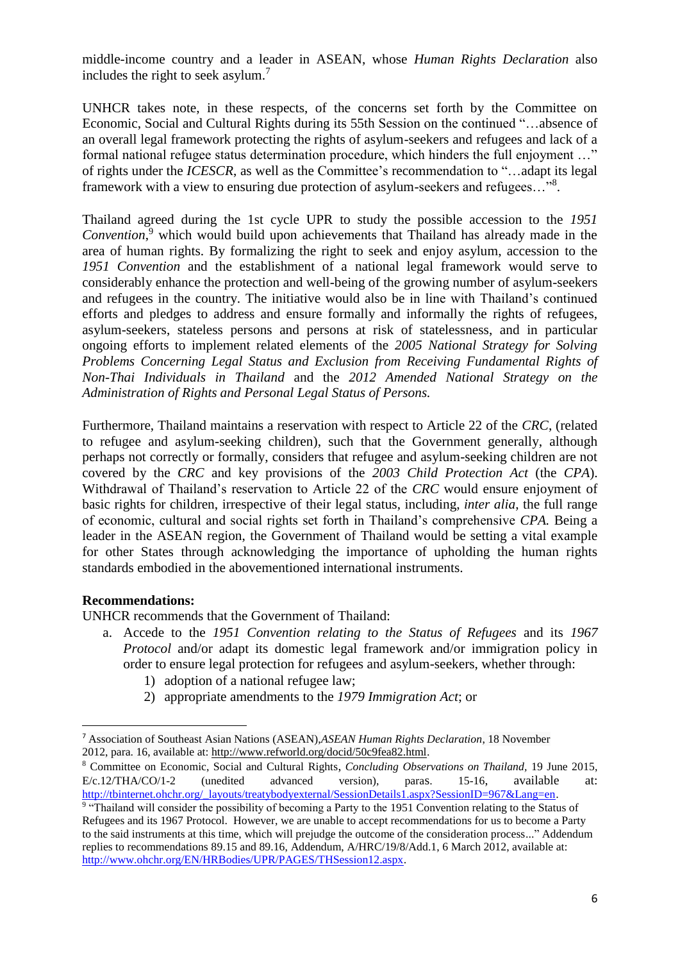middle-income country and a leader in ASEAN, whose *Human Rights Declaration* also includes the right to seek asylum. $<sup>7</sup>$ </sup>

UNHCR takes note, in these respects, of the concerns set forth by the Committee on Economic, Social and Cultural Rights during its 55th Session on the continued "…absence of an overall legal framework protecting the rights of asylum-seekers and refugees and lack of a formal national refugee status determination procedure, which hinders the full enjoyment …" of rights under the *ICESCR*, as well as the Committee's recommendation to "…adapt its legal framework with a view to ensuring due protection of asylum-seekers and refugees..."<sup>8</sup>.

Thailand agreed during the 1st cycle UPR to study the possible accession to the *1951 Convention*, <sup>9</sup> which would build upon achievements that Thailand has already made in the area of human rights. By formalizing the right to seek and enjoy asylum, accession to the *1951 Convention* and the establishment of a national legal framework would serve to considerably enhance the protection and well-being of the growing number of asylum-seekers and refugees in the country. The initiative would also be in line with Thailand's continued efforts and pledges to address and ensure formally and informally the rights of refugees, asylum-seekers, stateless persons and persons at risk of statelessness, and in particular ongoing efforts to implement related elements of the *2005 National Strategy for Solving Problems Concerning Legal Status and Exclusion from Receiving Fundamental Rights of Non-Thai Individuals in Thailand* and the *2012 Amended National Strategy on the Administration of Rights and Personal Legal Status of Persons.*

Furthermore, Thailand maintains a reservation with respect to Article 22 of the *CRC*, (related to refugee and asylum-seeking children), such that the Government generally, although perhaps not correctly or formally, considers that refugee and asylum-seeking children are not covered by the *CRC* and key provisions of the *2003 Child Protection Act* (the *CPA*). Withdrawal of Thailand's reservation to Article 22 of the *CRC* would ensure enjoyment of basic rights for children, irrespective of their legal status, including, *inter alia*, the full range of economic, cultural and social rights set forth in Thailand's comprehensive *CPA.* Being a leader in the ASEAN region, the Government of Thailand would be setting a vital example for other States through acknowledging the importance of upholding the human rights standards embodied in the abovementioned international instruments.

# **Recommendations:**

**.** 

UNHCR recommends that the Government of Thailand:

- a. Accede to the *1951 Convention relating to the Status of Refugees* and its *1967 Protocol* and/or adapt its domestic legal framework and/or immigration policy in order to ensure legal protection for refugees and asylum-seekers, whether through:
	- 1) adoption of a national refugee law;
	- 2) appropriate amendments to the *1979 Immigration Act*; or

<sup>7</sup> Association of Southeast Asian Nations (ASEAN),*ASEAN Human Rights Declaration*, 18 November 2012, para. 16, available at: [http://www.refworld.org/docid/50c9fea82.html.](http://www.refworld.org/docid/50c9fea82.html)

<sup>8</sup> Committee on Economic, Social and Cultural Rights, *Concluding Observations on Thailand,* 19 June 2015, E/c.12/THA/CO/1-2 (unedited advanced version), paras. 15-16, available at: [http://tbinternet.ohchr.org/\\_layouts/treatybodyexternal/SessionDetails1.aspx?SessionID=967&Lang=en.](http://tbinternet.ohchr.org/_layouts/treatybodyexternal/SessionDetails1.aspx?SessionID=967&Lang=en)

<sup>&</sup>lt;sup>9</sup> "Thailand will consider the possibility of becoming a Party to the 1951 Convention relating to the Status of Refugees and its 1967 Protocol. However, we are unable to accept recommendations for us to become a Party to the said instruments at this time, which will prejudge the outcome of the consideration process..." Addendum replies to recommendations 89.15 and 89.16, Addendum, A/HRC/19/8/Add.1, 6 March 2012, available at: [http://www.ohchr.org/EN/HRBodies/UPR/PAGES/THSession12.aspx.](http://www.ohchr.org/EN/HRBodies/UPR/PAGES/THSession12.aspx)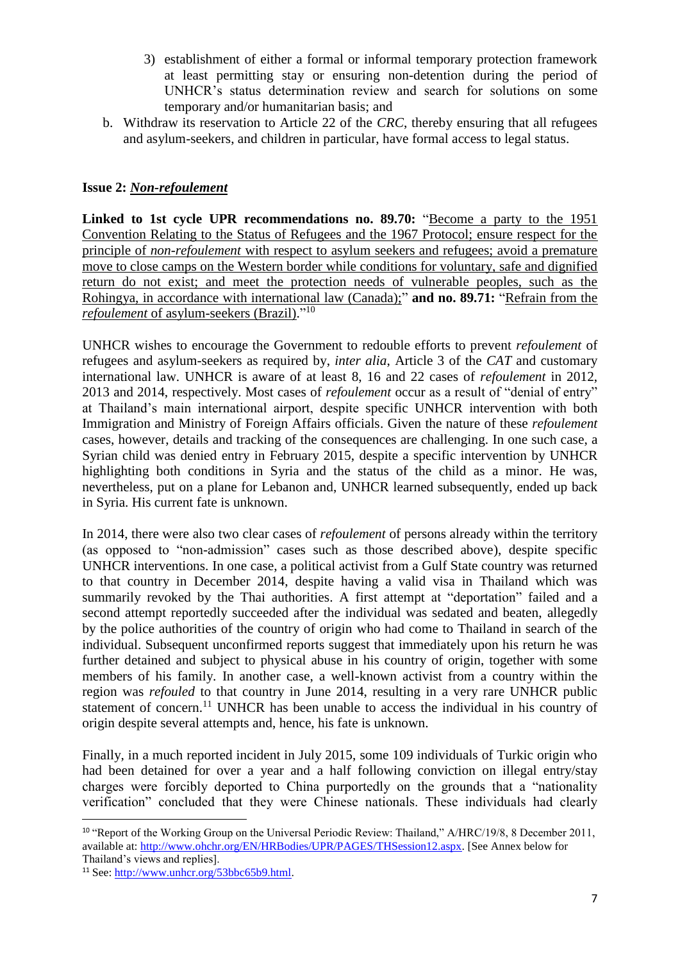- 3) establishment of either a formal or informal temporary protection framework at least permitting stay or ensuring non-detention during the period of UNHCR's status determination review and search for solutions on some temporary and/or humanitarian basis; and
- b. Withdraw its reservation to Article 22 of the *CRC*, thereby ensuring that all refugees and asylum-seekers, and children in particular, have formal access to legal status.

# **Issue 2:** *Non-refoulement*

**Linked to 1st cycle UPR recommendations no. 89.70:** "Become a party to the 1951 Convention Relating to the Status of Refugees and the 1967 Protocol; ensure respect for the principle of *non-refoulement* with respect to asylum seekers and refugees; avoid a premature move to close camps on the Western border while conditions for voluntary, safe and dignified return do not exist; and meet the protection needs of vulnerable peoples, such as the Rohingya, in accordance with international law (Canada);" **and no. 89.71:** "Refrain from the *refoulement* of asylum-seekers (Brazil)." 10

UNHCR wishes to encourage the Government to redouble efforts to prevent *refoulement* of refugees and asylum-seekers as required by, *inter alia*, Article 3 of the *CAT* and customary international law. UNHCR is aware of at least 8, 16 and 22 cases of *refoulement* in 2012, 2013 and 2014, respectively. Most cases of *refoulement* occur as a result of "denial of entry" at Thailand's main international airport, despite specific UNHCR intervention with both Immigration and Ministry of Foreign Affairs officials. Given the nature of these *refoulement* cases, however, details and tracking of the consequences are challenging. In one such case, a Syrian child was denied entry in February 2015, despite a specific intervention by UNHCR highlighting both conditions in Syria and the status of the child as a minor. He was, nevertheless, put on a plane for Lebanon and, UNHCR learned subsequently, ended up back in Syria. His current fate is unknown.

In 2014, there were also two clear cases of *refoulement* of persons already within the territory (as opposed to "non-admission" cases such as those described above), despite specific UNHCR interventions. In one case, a political activist from a Gulf State country was returned to that country in December 2014, despite having a valid visa in Thailand which was summarily revoked by the Thai authorities. A first attempt at "deportation" failed and a second attempt reportedly succeeded after the individual was sedated and beaten, allegedly by the police authorities of the country of origin who had come to Thailand in search of the individual. Subsequent unconfirmed reports suggest that immediately upon his return he was further detained and subject to physical abuse in his country of origin, together with some members of his family. In another case, a well-known activist from a country within the region was *refouled* to that country in June 2014, resulting in a very rare UNHCR public statement of concern.<sup>11</sup> UNHCR has been unable to access the individual in his country of origin despite several attempts and, hence, his fate is unknown.

Finally, in a much reported incident in July 2015, some 109 individuals of Turkic origin who had been detained for over a year and a half following conviction on illegal entry/stay charges were forcibly deported to China purportedly on the grounds that a "nationality verification" concluded that they were Chinese nationals. These individuals had clearly

**.** 

<sup>&</sup>lt;sup>10</sup> "Report of the Working Group on the Universal Periodic Review: Thailand," A/HRC/19/8, 8 December 2011, available at: [http://www.ohchr.org/EN/HRBodies/UPR/PAGES/THSession12.aspx.](http://www.ohchr.org/EN/HRBodies/UPR/PAGES/THSession12.aspx) [See Annex below for Thailand's views and replies].

<sup>11</sup> See: [http://www.unhcr.org/53bbc65b9.html.](http://www.unhcr.org/53bbc65b9.html)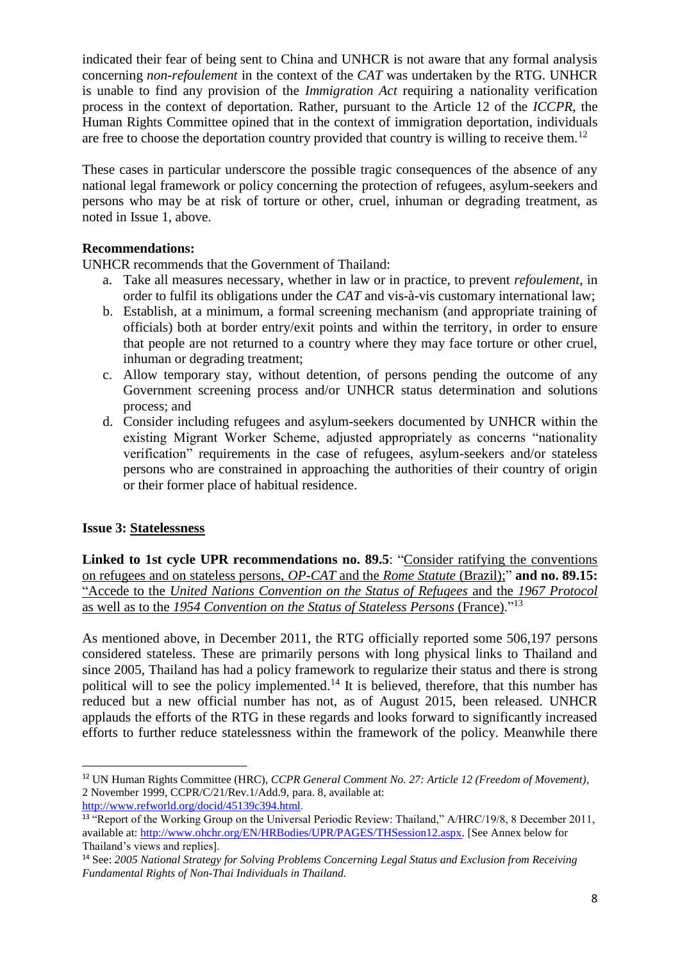indicated their fear of being sent to China and UNHCR is not aware that any formal analysis concerning *non-refoulement* in the context of the *CAT* was undertaken by the RTG. UNHCR is unable to find any provision of the *Immigration Act* requiring a nationality verification process in the context of deportation. Rather, pursuant to the Article 12 of the *ICCPR*, the Human Rights Committee opined that in the context of immigration deportation, individuals are free to choose the deportation country provided that country is willing to receive them.<sup>12</sup>

These cases in particular underscore the possible tragic consequences of the absence of any national legal framework or policy concerning the protection of refugees, asylum-seekers and persons who may be at risk of torture or other, cruel, inhuman or degrading treatment, as noted in Issue 1, above.

# **Recommendations:**

UNHCR recommends that the Government of Thailand:

- a. Take all measures necessary, whether in law or in practice, to prevent *refoulement,* in order to fulfil its obligations under the *CAT* and vis-à-vis customary international law;
- b. Establish, at a minimum, a formal screening mechanism (and appropriate training of officials) both at border entry/exit points and within the territory, in order to ensure that people are not returned to a country where they may face torture or other cruel, inhuman or degrading treatment;
- c. Allow temporary stay, without detention, of persons pending the outcome of any Government screening process and/or UNHCR status determination and solutions process; and
- d. Consider including refugees and asylum-seekers documented by UNHCR within the existing Migrant Worker Scheme, adjusted appropriately as concerns "nationality verification" requirements in the case of refugees, asylum-seekers and/or stateless persons who are constrained in approaching the authorities of their country of origin or their former place of habitual residence.

#### **Issue 3: Statelessness**

1

**Linked to 1st cycle UPR recommendations no. 89.5**: "Consider ratifying the conventions on refugees and on stateless persons, *OP-CAT* and the *Rome Statute* (Brazil);" **and no. 89.15:** "Accede to the *United Nations Convention on the Status of Refugees* and the *1967 Protocol* as well as to the *1954 Convention on the Status of Stateless Persons* (France)."<sup>13</sup>

As mentioned above, in December 2011, the RTG officially reported some 506,197 persons considered stateless. These are primarily persons with long physical links to Thailand and since 2005, Thailand has had a policy framework to regularize their status and there is strong political will to see the policy implemented.<sup>14</sup> It is believed, therefore, that this number has reduced but a new official number has not, as of August 2015, been released. UNHCR applauds the efforts of the RTG in these regards and looks forward to significantly increased efforts to further reduce statelessness within the framework of the policy. Meanwhile there

<sup>12</sup> UN Human Rights Committee (HRC), *CCPR General Comment No. 27: Article 12 (Freedom of Movement)*, 2 November 1999, CCPR/C/21/Rev.1/Add.9, para. 8, available at: [http://www.refworld.org/docid/45139c394.html.](http://www.refworld.org/docid/45139c394.html) 

<sup>&</sup>lt;sup>13</sup> "Report of the Working Group on the Universal Periodic Review: Thailand," A/HRC/19/8, 8 December 2011, available at: [http://www.ohchr.org/EN/HRBodies/UPR/PAGES/THSession12.aspx.](http://www.ohchr.org/EN/HRBodies/UPR/PAGES/THSession12.aspx) [See Annex below for Thailand's views and replies].

<sup>14</sup> See: *2005 National Strategy for Solving Problems Concerning Legal Status and Exclusion from Receiving Fundamental Rights of Non-Thai Individuals in Thailand.*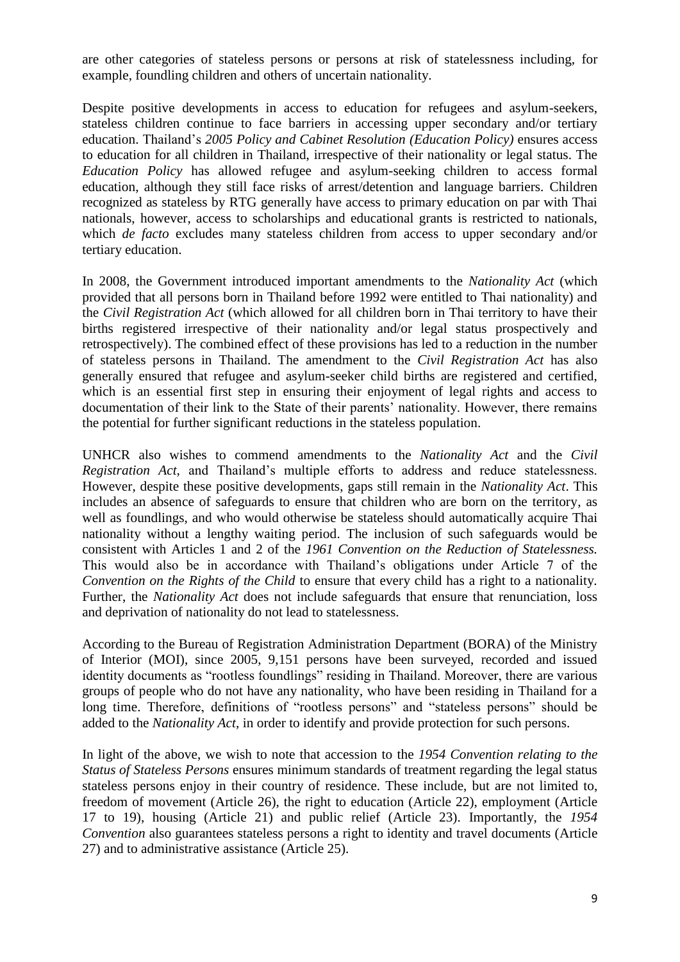are other categories of stateless persons or persons at risk of statelessness including, for example, foundling children and others of uncertain nationality.

Despite positive developments in access to education for refugees and asylum-seekers, stateless children continue to face barriers in accessing upper secondary and/or tertiary education. Thailand's *2005 Policy and Cabinet Resolution (Education Policy)* ensures access to education for all children in Thailand, irrespective of their nationality or legal status. The *Education Policy* has allowed refugee and asylum-seeking children to access formal education, although they still face risks of arrest/detention and language barriers. Children recognized as stateless by RTG generally have access to primary education on par with Thai nationals, however, access to scholarships and educational grants is restricted to nationals, which *de facto* excludes many stateless children from access to upper secondary and/or tertiary education.

In 2008, the Government introduced important amendments to the *Nationality Act* (which provided that all persons born in Thailand before 1992 were entitled to Thai nationality) and the *Civil Registration Act* (which allowed for all children born in Thai territory to have their births registered irrespective of their nationality and/or legal status prospectively and retrospectively). The combined effect of these provisions has led to a reduction in the number of stateless persons in Thailand. The amendment to the *Civil Registration Act* has also generally ensured that refugee and asylum-seeker child births are registered and certified, which is an essential first step in ensuring their enjoyment of legal rights and access to documentation of their link to the State of their parents' nationality. However, there remains the potential for further significant reductions in the stateless population.

UNHCR also wishes to commend amendments to the *Nationality Act* and the *Civil Registration Act,* and Thailand's multiple efforts to address and reduce statelessness. However, despite these positive developments, gaps still remain in the *Nationality Act*. This includes an absence of safeguards to ensure that children who are born on the territory, as well as foundlings, and who would otherwise be stateless should automatically acquire Thai nationality without a lengthy waiting period. The inclusion of such safeguards would be consistent with Articles 1 and 2 of the *1961 Convention on the Reduction of Statelessness.*  This would also be in accordance with Thailand's obligations under Article 7 of the *Convention on the Rights of the Child* to ensure that every child has a right to a nationality*.*  Further, the *Nationality Act* does not include safeguards that ensure that renunciation, loss and deprivation of nationality do not lead to statelessness.

According to the Bureau of Registration Administration Department (BORA) of the Ministry of Interior (MOI), since 2005, 9,151 persons have been surveyed, recorded and issued identity documents as "rootless foundlings" residing in Thailand. Moreover, there are various groups of people who do not have any nationality, who have been residing in Thailand for a long time. Therefore, definitions of "rootless persons" and "stateless persons" should be added to the *Nationality Act*, in order to identify and provide protection for such persons.

In light of the above, we wish to note that accession to the *1954 Convention relating to the Status of Stateless Persons* ensures minimum standards of treatment regarding the legal status stateless persons enjoy in their country of residence. These include, but are not limited to, freedom of movement (Article 26), the right to education (Article 22), employment (Article 17 to 19), housing (Article 21) and public relief (Article 23). Importantly, the *1954 Convention* also guarantees stateless persons a right to identity and travel documents (Article 27) and to administrative assistance (Article 25).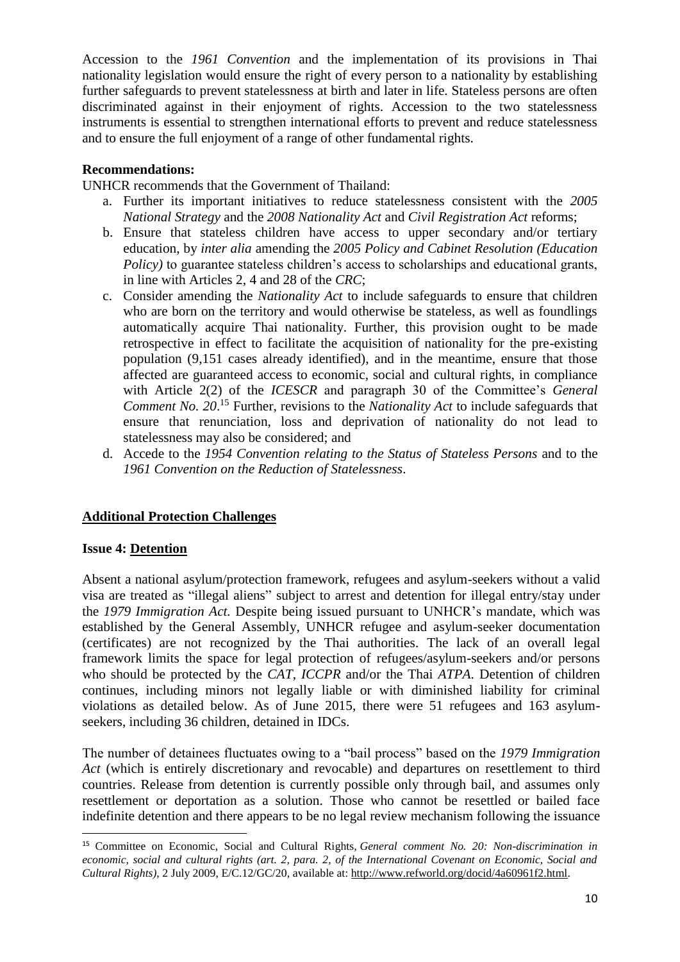Accession to the *1961 Convention* and the implementation of its provisions in Thai nationality legislation would ensure the right of every person to a nationality by establishing further safeguards to prevent statelessness at birth and later in life. Stateless persons are often discriminated against in their enjoyment of rights. Accession to the two statelessness instruments is essential to strengthen international efforts to prevent and reduce statelessness and to ensure the full enjoyment of a range of other fundamental rights.

# **Recommendations:**

UNHCR recommends that the Government of Thailand:

- a. Further its important initiatives to reduce statelessness consistent with the *2005 National Strategy* and the *2008 Nationality Act* and *Civil Registration Act* reforms;
- b. Ensure that stateless children have access to upper secondary and/or tertiary education, by *inter alia* amending the *2005 Policy and Cabinet Resolution (Education Policy*) to guarantee stateless children's access to scholarships and educational grants, in line with Articles 2, 4 and 28 of the *CRC*;
- c. Consider amending the *Nationality Act* to include safeguards to ensure that children who are born on the territory and would otherwise be stateless, as well as foundlings automatically acquire Thai nationality. Further, this provision ought to be made retrospective in effect to facilitate the acquisition of nationality for the pre-existing population (9,151 cases already identified), and in the meantime, ensure that those affected are guaranteed access to economic, social and cultural rights, in compliance with Article 2(2) of the *ICESCR* and paragraph 30 of the Committee's *General Comment No. 20*. <sup>15</sup> Further, revisions to the *Nationality Act* to include safeguards that ensure that renunciation, loss and deprivation of nationality do not lead to statelessness may also be considered; and
- d. Accede to the *1954 Convention relating to the Status of Stateless Persons* and to the *1961 Convention on the Reduction of Statelessness*.

#### **Additional Protection Challenges**

#### **Issue 4: Detention**

**.** 

Absent a national asylum/protection framework, refugees and asylum-seekers without a valid visa are treated as "illegal aliens" subject to arrest and detention for illegal entry/stay under the *1979 Immigration Act.* Despite being issued pursuant to UNHCR's mandate, which was established by the General Assembly, UNHCR refugee and asylum-seeker documentation (certificates) are not recognized by the Thai authorities. The lack of an overall legal framework limits the space for legal protection of refugees/asylum-seekers and/or persons who should be protected by the *CAT*, *ICCPR* and/or the Thai *ATPA*. Detention of children continues, including minors not legally liable or with diminished liability for criminal violations as detailed below. As of June 2015, there were 51 refugees and 163 asylumseekers, including 36 children, detained in IDCs.

The number of detainees fluctuates owing to a "bail process" based on the *1979 Immigration Act* (which is entirely discretionary and revocable) and departures on resettlement to third countries. Release from detention is currently possible only through bail, and assumes only resettlement or deportation as a solution. Those who cannot be resettled or bailed face indefinite detention and there appears to be no legal review mechanism following the issuance

<sup>15</sup> Committee on Economic, Social and Cultural Rights, *General comment No. 20: Non-discrimination in economic, social and cultural rights (art. 2, para. 2, of the International Covenant on Economic, Social and Cultural Rights)*, 2 July 2009, E/C.12/GC/20, available at: [http://www.refworld.org/docid/4a60961f2.html.](http://www.refworld.org/docid/4a60961f2.html)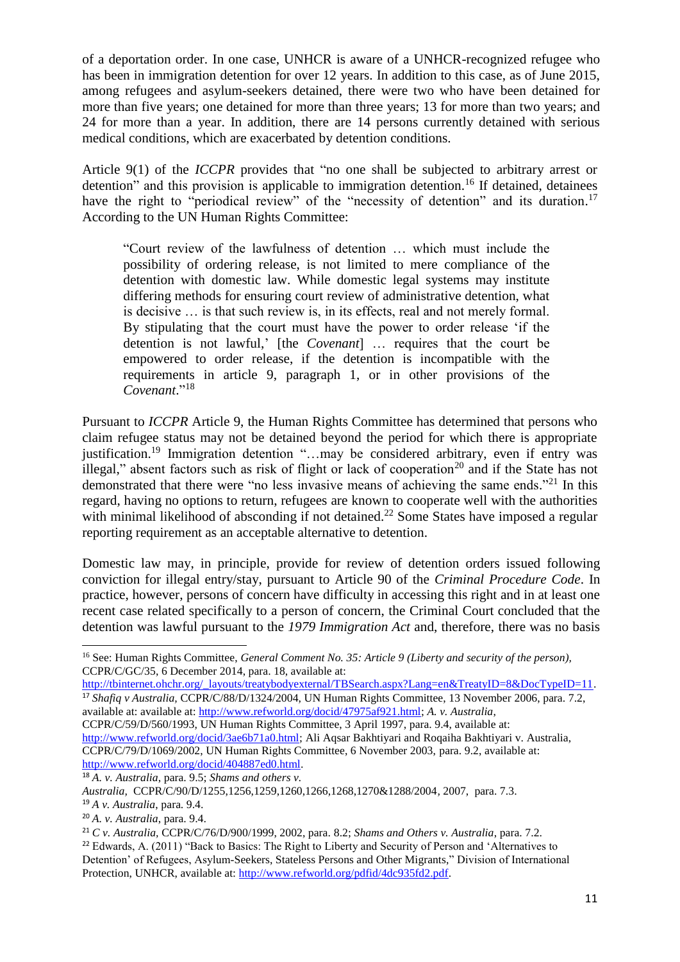of a deportation order. In one case, UNHCR is aware of a UNHCR-recognized refugee who has been in immigration detention for over 12 years. In addition to this case, as of June 2015, among refugees and asylum-seekers detained, there were two who have been detained for more than five years; one detained for more than three years; 13 for more than two years; and 24 for more than a year. In addition, there are 14 persons currently detained with serious medical conditions, which are exacerbated by detention conditions.

Article 9(1) of the *ICCPR* provides that "no one shall be subjected to arbitrary arrest or detention" and this provision is applicable to immigration detention.<sup>16</sup> If detained, detainees have the right to "periodical review" of the "necessity of detention" and its duration.<sup>17</sup> According to the UN Human Rights Committee:

"Court review of the lawfulness of detention … which must include the possibility of ordering release, is not limited to mere compliance of the detention with domestic law. While domestic legal systems may institute differing methods for ensuring court review of administrative detention, what is decisive … is that such review is, in its effects, real and not merely formal. By stipulating that the court must have the power to order release 'if the detention is not lawful,' [the *Covenant*] … requires that the court be empowered to order release, if the detention is incompatible with the requirements in article 9, paragraph 1, or in other provisions of the *Covenant*." 18

Pursuant to *ICCPR* Article 9, the Human Rights Committee has determined that persons who claim refugee status may not be detained beyond the period for which there is appropriate justification.<sup>19</sup> Immigration detention "...may be considered arbitrary, even if entry was illegal," absent factors such as risk of flight or lack of cooperation<sup>20</sup> and if the State has not demonstrated that there were "no less invasive means of achieving the same ends."<sup>21</sup> In this regard, having no options to return, refugees are known to cooperate well with the authorities with minimal likelihood of absconding if not detained.<sup>22</sup> Some States have imposed a regular reporting requirement as an acceptable alternative to detention.

Domestic law may, in principle, provide for review of detention orders issued following conviction for illegal entry/stay, pursuant to Article 90 of the *Criminal Procedure Code*. In practice, however, persons of concern have difficulty in accessing this right and in at least one recent case related specifically to a person of concern, the Criminal Court concluded that the detention was lawful pursuant to the *1979 Immigration Act* and, therefore, there was no basis

[http://tbinternet.ohchr.org/\\_layouts/treatybodyexternal/TBSearch.aspx?Lang=en&TreatyID=8&DocTypeID=11.](http://tbinternet.ohchr.org/_layouts/treatybodyexternal/TBSearch.aspx?Lang=en&TreatyID=8&DocTypeID=11) <sup>17</sup> *Shafiq v Australia,* CCPR/C/88/D/1324/2004, [UN Human Rights Committee, 13 November 2006, para. 7.2,](http://www.refworld.org/docid/47975af921.html)  available at: available at: [http://www.refworld.org/docid/47975af921.html;](http://www.refworld.org/docid/47975af921.html) *[A. v. Australia](http://www.refworld.org/cgi-bin/texis/vtx/rwmain?docid=3ae6b71a0)*,

<sup>18</sup> *[A. v. Australia](http://www.refworld.org/cgi-bin/texis/vtx/rwmain?docid=3ae6b71a0)*, para. 9.5; *[Shams and others v.](http://www.ag.gov.au/RightsAndProtections/HumanRights/DisabilityStandards/Documents/ShamsetalvAustralia-Viewsof1192007.pdf)* 

**.** 

<sup>16</sup> See: Human Rights Committee, *General Comment No. 35: Article 9 (Liberty and security of the person),*  CCPR/C/GC/35, 6 December 2014, para. 18, available at:

[CCPR/C/59/D/560/1993, UN Human Rights Committee, 3 April 1997, para. 9.4,](http://www.refworld.org/cgi-bin/texis/vtx/rwmain?docid=3ae6b71a0) available at:

[http://www.refworld.org/docid/3ae6b71a0.html;](http://www.refworld.org/docid/3ae6b71a0.html) Ali Aqsar Bakhtiyari and Roqaiha Bakhtiyari v. Australia, CCPR/C/79/D/1069/2002, UN Human Rights Committee, 6 November 2003, para. 9.2, available at: [http://www.refworld.org/docid/404887ed0.html.](http://www.refworld.org/docid/404887ed0.html) 

*Australia,* [CCPR/C/90/D/1255,1256,1259,1260,1266,1268,1270&1288/2004](http://www.ag.gov.au/RightsAndProtections/HumanRights/DisabilityStandards/Documents/ShamsetalvAustralia-Viewsof1192007.pdf)*,* 2007, para. 7.3.

<sup>19</sup> *[A v. Australia](http://www.refworld.org/cgi-bin/texis/vtx/rwmain?docid=3ae6b71a0)*, para. 9.4.

<sup>20</sup> *[A. v. Australia](http://www.refworld.org/cgi-bin/texis/vtx/rwmain?docid=3ae6b71a0)*, para. 9.4.

<sup>21</sup> *C v. Australia,* [CCPR/C/76/D/900/1999, 2002, para. 8.2;](http://www.refworld.org/docid/3f588ef00.html) *[Shams and Others v. Australia](http://www.ag.gov.au/RightsAndProtections/HumanRights/DisabilityStandards/Documents/ShamsetalvAustralia-Viewsof1192007.pdf)*, para. 7.2. <sup>22</sup> Edwards, A. (2011) "Back to Basics: The Right to Liberty and Security of Person and 'Alternatives to

Detention' of Refugees, Asylum-Seekers, Stateless Persons and Other Migrants," Division of International Protection, UNHCR, available at: [http://www.refworld.org/pdfid/4dc935fd2.pdf.](http://www.refworld.org/pdfid/4dc935fd2.pdf)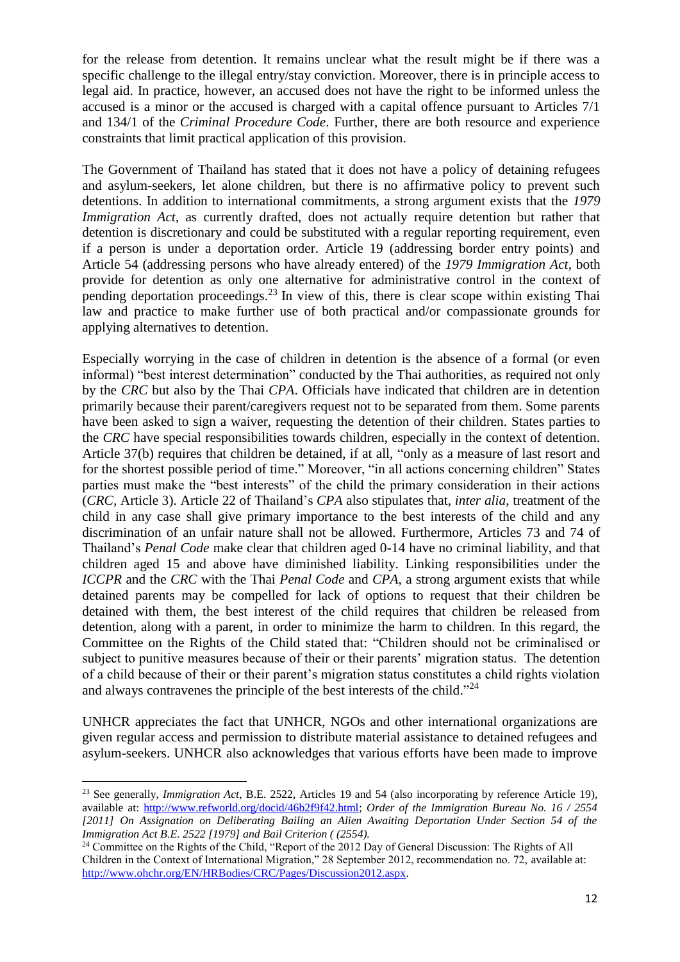for the release from detention. It remains unclear what the result might be if there was a specific challenge to the illegal entry/stay conviction. Moreover, there is in principle access to legal aid. In practice, however, an accused does not have the right to be informed unless the accused is a minor or the accused is charged with a capital offence pursuant to Articles 7/1 and 134/1 of the *Criminal Procedure Code*. Further, there are both resource and experience constraints that limit practical application of this provision.

The Government of Thailand has stated that it does not have a policy of detaining refugees and asylum-seekers, let alone children, but there is no affirmative policy to prevent such detentions. In addition to international commitments, a strong argument exists that the *1979 Immigration Act,* as currently drafted, does not actually require detention but rather that detention is discretionary and could be substituted with a regular reporting requirement, even if a person is under a deportation order. Article 19 (addressing border entry points) and Article 54 (addressing persons who have already entered) of the *1979 Immigration Act*, both provide for detention as only one alternative for administrative control in the context of pending deportation proceedings.<sup>23</sup> In view of this, there is clear scope within existing Thai law and practice to make further use of both practical and/or compassionate grounds for applying alternatives to detention.

Especially worrying in the case of children in detention is the absence of a formal (or even informal) "best interest determination" conducted by the Thai authorities, as required not only by the *CRC* but also by the Thai *CPA*. Officials have indicated that children are in detention primarily because their parent/caregivers request not to be separated from them. Some parents have been asked to sign a waiver, requesting the detention of their children. States parties to the *CRC* have special responsibilities towards children, especially in the context of detention. Article 37(b) requires that children be detained, if at all, "only as a measure of last resort and for the shortest possible period of time." Moreover, "in all actions concerning children" States parties must make the "best interests" of the child the primary consideration in their actions (*CRC,* Article 3). Article 22 of Thailand's *CPA* also stipulates that, *inter alia*, treatment of the child in any case shall give primary importance to the best interests of the child and any discrimination of an unfair nature shall not be allowed. Furthermore, Articles 73 and 74 of Thailand's *Penal Code* make clear that children aged 0-14 have no criminal liability, and that children aged 15 and above have diminished liability. Linking responsibilities under the *ICCPR* and the *CRC* with the Thai *Penal Code* and *CPA*, a strong argument exists that while detained parents may be compelled for lack of options to request that their children be detained with them, the best interest of the child requires that children be released from detention, along with a parent, in order to minimize the harm to children. In this regard, the Committee on the Rights of the Child stated that: "Children should not be criminalised or subject to punitive measures because of their or their parents' migration status. The detention of a child because of their or their parent's migration status constitutes a child rights violation and always contravenes the principle of the best interests of the child."<sup>24</sup>

UNHCR appreciates the fact that UNHCR, NGOs and other international organizations are given regular access and permission to distribute material assistance to detained refugees and asylum-seekers. UNHCR also acknowledges that various efforts have been made to improve

**.** 

<sup>23</sup> See generally, *Immigration Act*, B.E. 2522, Articles 19 and 54 (also incorporating by reference Article 19), available at: [http://www.refworld.org/docid/46b2f9f42.html;](http://www.refworld.org/docid/46b2f9f42.html) *Order of the Immigration Bureau No. 16 / 2554 [2011] On Assignation on Deliberating Bailing an Alien Awaiting Deportation Under Section 54 of the Immigration Act B.E. 2522 [1979] and Bail Criterion ( (2554).*

<sup>&</sup>lt;sup>24</sup> Committee on the Rights of the Child, "Report of the 2012 Day of General Discussion: The Rights of All Children in the Context of International Migration," 28 September 2012, recommendation no. 72, available at: [http://www.ohchr.org/EN/HRBodies/CRC/Pages/Discussion2012.aspx.](http://www.ohchr.org/EN/HRBodies/CRC/Pages/Discussion2012.aspx)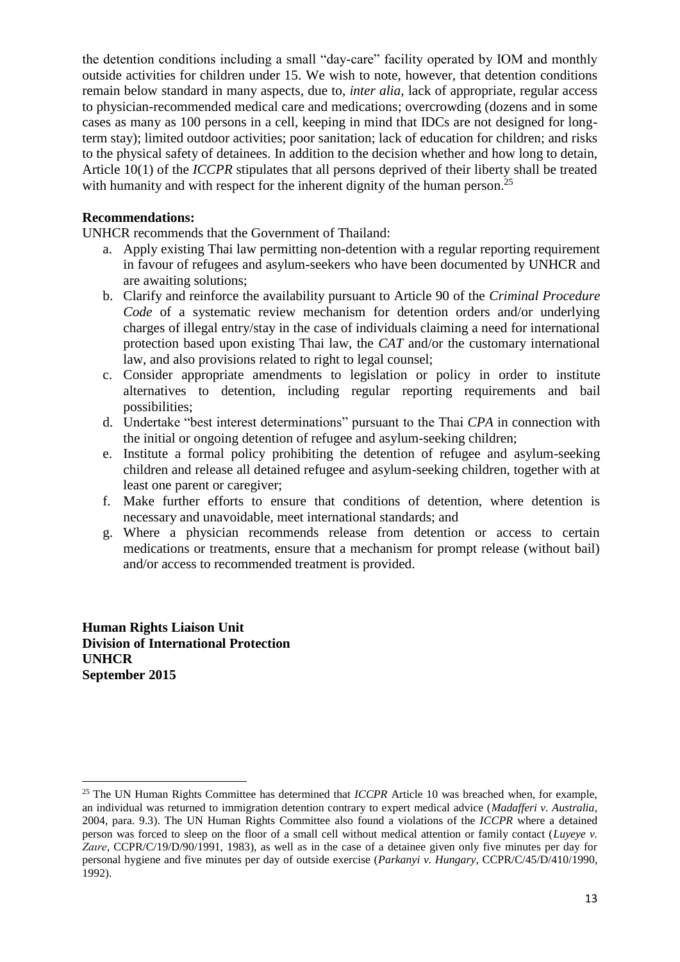the detention conditions including a small "day-care" facility operated by IOM and monthly outside activities for children under 15. We wish to note, however, that detention conditions remain below standard in many aspects, due to, *inter alia,* lack of appropriate, regular access to physician-recommended medical care and medications; overcrowding (dozens and in some cases as many as 100 persons in a cell, keeping in mind that IDCs are not designed for longterm stay); limited outdoor activities; poor sanitation; lack of education for children; and risks to the physical safety of detainees. In addition to the decision whether and how long to detain, Article 10(1) of the *ICCPR* stipulates that all persons deprived of their liberty shall be treated with humanity and with respect for the inherent dignity of the human person.<sup>25</sup>

# **Recommendations:**

UNHCR recommends that the Government of Thailand:

- a. Apply existing Thai law permitting non-detention with a regular reporting requirement in favour of refugees and asylum-seekers who have been documented by UNHCR and are awaiting solutions;
- b. Clarify and reinforce the availability pursuant to Article 90 of the *Criminal Procedure Code* of a systematic review mechanism for detention orders and/or underlying charges of illegal entry/stay in the case of individuals claiming a need for international protection based upon existing Thai law, the *CAT* and/or the customary international law, and also provisions related to right to legal counsel;
- c. Consider appropriate amendments to legislation or policy in order to institute alternatives to detention, including regular reporting requirements and bail possibilities;
- d. Undertake "best interest determinations" pursuant to the Thai *CPA* in connection with the initial or ongoing detention of refugee and asylum-seeking children;
- e. Institute a formal policy prohibiting the detention of refugee and asylum-seeking children and release all detained refugee and asylum-seeking children, together with at least one parent or caregiver;
- f. Make further efforts to ensure that conditions of detention, where detention is necessary and unavoidable, meet international standards; and
- g. Where a physician recommends release from detention or access to certain medications or treatments, ensure that a mechanism for prompt release (without bail) and/or access to recommended treatment is provided.

**Human Rights Liaison Unit Division of International Protection UNHCR September 2015**

**<sup>.</sup>** <sup>25</sup> The UN Human Rights Committee has determined that *ICCPR* Article 10 was breached when, for example, an individual was returned to immigration detention contrary to expert medical advice (*[Madafferi v. Australia](http://www.refworld.org/docid/4162a5a36.html)*, [2004, para. 9.3\)](http://www.refworld.org/docid/4162a5a36.html). The UN Human Rights Committee also found a violations of the *ICCPR* where a detained person was forced to sleep on the floor of a small cell without medical attention or family contact (*[Luyeye v.](http://www1.umn.edu/humanrts/undocs/newscans/90-1981.html)  Zaıre*[, CCPR/C/19/D/90/1991, 1983\)](http://www1.umn.edu/humanrts/undocs/newscans/90-1981.html), as well as in the case of a detainee given only five minutes per day for personal hygiene and five minutes per day of outside exercise (*Parkanyi v. Hungary*[, CCPR/C/45/D/410/1990,](http://www1.umn.edu/humanrts/undocs/html/dec410.htm)  [1992\)](http://www1.umn.edu/humanrts/undocs/html/dec410.htm).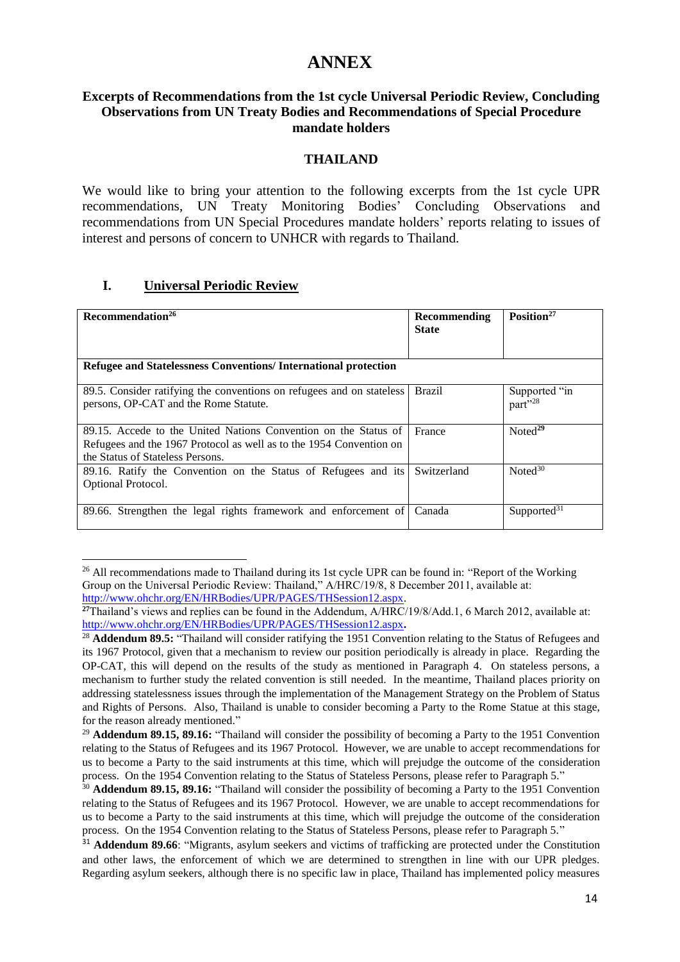# **ANNEX**

#### **Excerpts of Recommendations from the 1st cycle Universal Periodic Review, Concluding Observations from UN Treaty Bodies and Recommendations of Special Procedure mandate holders**

#### **THAILAND**

We would like to bring your attention to the following excerpts from the 1st cycle UPR recommendations, UN Treaty Monitoring Bodies' Concluding Observations and recommendations from UN Special Procedures mandate holders' reports relating to issues of interest and persons of concern to UNHCR with regards to Thailand.

# **I. Universal Periodic Review**

**.** 

| Recommendation <sup>26</sup>                                                                                                                                               | Recommending<br><b>State</b> | Position $27$                        |
|----------------------------------------------------------------------------------------------------------------------------------------------------------------------------|------------------------------|--------------------------------------|
| Refugee and Statelessness Conventions/ International protection                                                                                                            |                              |                                      |
| 89.5. Consider ratifying the conventions on refugees and on stateless<br>persons, OP-CAT and the Rome Statute.                                                             | <b>Brazil</b>                | Supported "in<br>part" <sup>28</sup> |
| 89.15. Accede to the United Nations Convention on the Status of<br>Refugees and the 1967 Protocol as well as to the 1954 Convention on<br>the Status of Stateless Persons. | France                       | Noted <sup>29</sup>                  |
| 89.16. Ratify the Convention on the Status of Refugees and its<br>Optional Protocol.                                                                                       | Switzerland                  | Noted $30$                           |
| 89.66. Strengthen the legal rights framework and enforcement of                                                                                                            | Canada                       | Supported <sup>31</sup>              |

<sup>&</sup>lt;sup>26</sup> All recommendations made to Thailand during its 1st cycle UPR can be found in: "Report of the Working" Group on the Universal Periodic Review: Thailand," A/HRC/19/8, 8 December 2011, available at: [http://www.ohchr.org/EN/HRBodies/UPR/PAGES/THSession12.aspx.](http://www.ohchr.org/EN/HRBodies/UPR/PAGES/THSession12.aspx) 

**<sup>27</sup>**Thailand's views and replies can be found in the Addendum, A/HRC/19/8/Add.1, 6 March 2012, available at: <http://www.ohchr.org/EN/HRBodies/UPR/PAGES/THSession12.aspx>**.**

<sup>&</sup>lt;sup>28</sup> **Addendum 89.5:** "Thailand will consider ratifying the 1951 Convention relating to the Status of Refugees and its 1967 Protocol, given that a mechanism to review our position periodically is already in place. Regarding the OP-CAT, this will depend on the results of the study as mentioned in Paragraph 4. On stateless persons, a mechanism to further study the related convention is still needed. In the meantime, Thailand places priority on addressing statelessness issues through the implementation of the Management Strategy on the Problem of Status and Rights of Persons. Also, Thailand is unable to consider becoming a Party to the Rome Statue at this stage, for the reason already mentioned."

<sup>29</sup> **Addendum 89.15, 89.16:** "Thailand will consider the possibility of becoming a Party to the 1951 Convention relating to the Status of Refugees and its 1967 Protocol. However, we are unable to accept recommendations for us to become a Party to the said instruments at this time, which will prejudge the outcome of the consideration process. On the 1954 Convention relating to the Status of Stateless Persons, please refer to Paragraph 5."

<sup>30</sup> **Addendum 89.15, 89.16:** "Thailand will consider the possibility of becoming a Party to the 1951 Convention relating to the Status of Refugees and its 1967 Protocol. However, we are unable to accept recommendations for us to become a Party to the said instruments at this time, which will prejudge the outcome of the consideration process. On the 1954 Convention relating to the Status of Stateless Persons, please refer to Paragraph 5."

<sup>&</sup>lt;sup>31</sup> **Addendum 89.66**: "Migrants, asylum seekers and victims of trafficking are protected under the Constitution and other laws, the enforcement of which we are determined to strengthen in line with our UPR pledges. Regarding asylum seekers, although there is no specific law in place, Thailand has implemented policy measures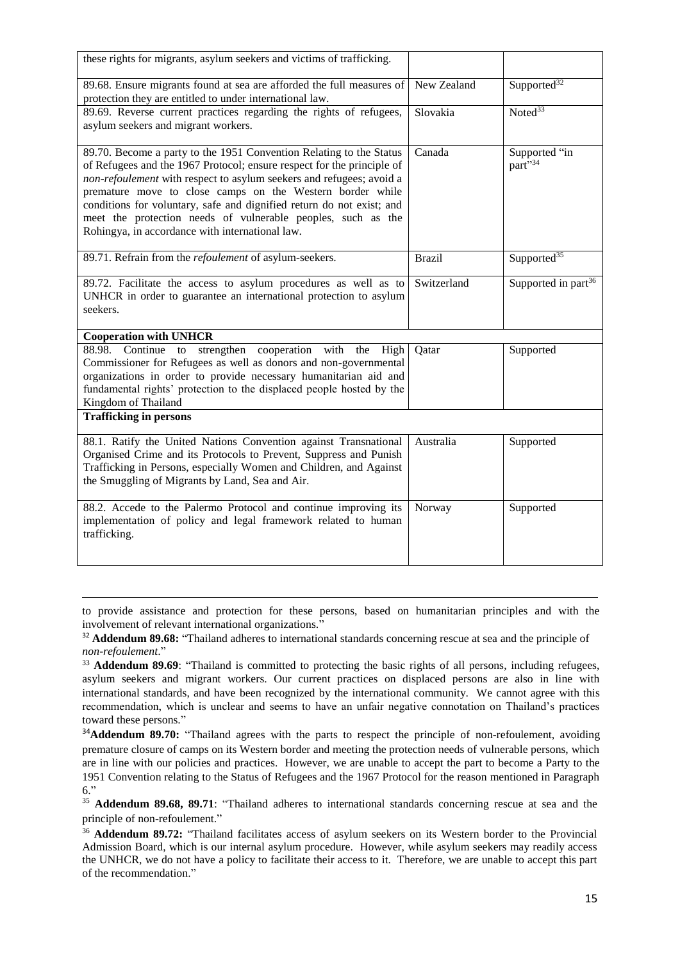| these rights for migrants, asylum seekers and victims of trafficking.                                                                                                                                                                                                                                                                                                                                                                                                          |               |                                 |
|--------------------------------------------------------------------------------------------------------------------------------------------------------------------------------------------------------------------------------------------------------------------------------------------------------------------------------------------------------------------------------------------------------------------------------------------------------------------------------|---------------|---------------------------------|
| 89.68. Ensure migrants found at sea are afforded the full measures of<br>protection they are entitled to under international law.                                                                                                                                                                                                                                                                                                                                              | New Zealand   | Supported <sup>32</sup>         |
| 89.69. Reverse current practices regarding the rights of refugees,<br>asylum seekers and migrant workers.                                                                                                                                                                                                                                                                                                                                                                      | Slovakia      | $\overline{\text{Noted}^{33}}$  |
| 89.70. Become a party to the 1951 Convention Relating to the Status<br>of Refugees and the 1967 Protocol; ensure respect for the principle of<br>non-refoulement with respect to asylum seekers and refugees; avoid a<br>premature move to close camps on the Western border while<br>conditions for voluntary, safe and dignified return do not exist; and<br>meet the protection needs of vulnerable peoples, such as the<br>Rohingya, in accordance with international law. | Canada        | Supported "in<br>part"34        |
| 89.71. Refrain from the refoulement of asylum-seekers.                                                                                                                                                                                                                                                                                                                                                                                                                         | <b>Brazil</b> | Supported <sup>35</sup>         |
| 89.72. Facilitate the access to asylum procedures as well as to<br>UNHCR in order to guarantee an international protection to asylum<br>seekers.                                                                                                                                                                                                                                                                                                                               | Switzerland   | Supported in part <sup>36</sup> |
| <b>Cooperation with UNHCR</b>                                                                                                                                                                                                                                                                                                                                                                                                                                                  |               |                                 |
| 88.98. Continue to strengthen cooperation with<br>the<br>High<br>Commissioner for Refugees as well as donors and non-governmental<br>organizations in order to provide necessary humanitarian aid and<br>fundamental rights' protection to the displaced people hosted by the<br>Kingdom of Thailand                                                                                                                                                                           | Qatar         | Supported                       |
| <b>Trafficking in persons</b>                                                                                                                                                                                                                                                                                                                                                                                                                                                  |               |                                 |
| 88.1. Ratify the United Nations Convention against Transnational<br>Organised Crime and its Protocols to Prevent, Suppress and Punish<br>Trafficking in Persons, especially Women and Children, and Against<br>the Smuggling of Migrants by Land, Sea and Air.                                                                                                                                                                                                                 | Australia     | Supported                       |
| 88.2. Accede to the Palermo Protocol and continue improving its<br>implementation of policy and legal framework related to human<br>trafficking.                                                                                                                                                                                                                                                                                                                               | Norway        | Supported                       |

to provide assistance and protection for these persons, based on humanitarian principles and with the involvement of relevant international organizations."

**.** 

<sup>32</sup> **Addendum 89.68:** "Thailand adheres to international standards concerning rescue at sea and the principle of *non-refoulement*."

<sup>&</sup>lt;sup>33</sup> **Addendum 89.69**: "Thailand is committed to protecting the basic rights of all persons, including refugees, asylum seekers and migrant workers. Our current practices on displaced persons are also in line with international standards, and have been recognized by the international community. We cannot agree with this recommendation, which is unclear and seems to have an unfair negative connotation on Thailand's practices toward these persons."

<sup>34</sup>**Addendum 89.70:** "Thailand agrees with the parts to respect the principle of non-refoulement, avoiding premature closure of camps on its Western border and meeting the protection needs of vulnerable persons, which are in line with our policies and practices. However, we are unable to accept the part to become a Party to the 1951 Convention relating to the Status of Refugees and the 1967 Protocol for the reason mentioned in Paragraph 6."

<sup>35</sup> **Addendum 89.68, 89.71**: "Thailand adheres to international standards concerning rescue at sea and the principle of non-refoulement."

<sup>&</sup>lt;sup>36</sup> **Addendum 89.72:** "Thailand facilitates access of asylum seekers on its Western border to the Provincial Admission Board, which is our internal asylum procedure. However, while asylum seekers may readily access the UNHCR, we do not have a policy to facilitate their access to it. Therefore, we are unable to accept this part of the recommendation."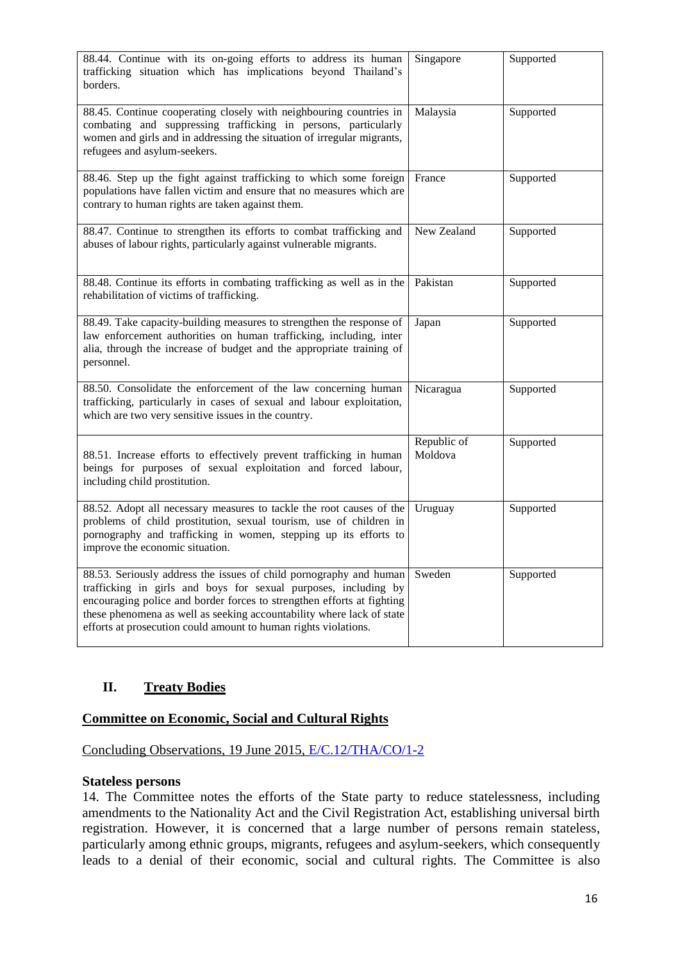| 88.44. Continue with its on-going efforts to address its human<br>trafficking situation which has implications beyond Thailand's<br>borders.                                                                                                                                                                                                                | Singapore              | Supported |
|-------------------------------------------------------------------------------------------------------------------------------------------------------------------------------------------------------------------------------------------------------------------------------------------------------------------------------------------------------------|------------------------|-----------|
| 88.45. Continue cooperating closely with neighbouring countries in<br>combating and suppressing trafficking in persons, particularly<br>women and girls and in addressing the situation of irregular migrants,<br>refugees and asylum-seekers.                                                                                                              | Malaysia               | Supported |
| 88.46. Step up the fight against trafficking to which some foreign<br>populations have fallen victim and ensure that no measures which are<br>contrary to human rights are taken against them.                                                                                                                                                              | France                 | Supported |
| 88.47. Continue to strengthen its efforts to combat trafficking and<br>abuses of labour rights, particularly against vulnerable migrants.                                                                                                                                                                                                                   | New Zealand            | Supported |
| 88.48. Continue its efforts in combating trafficking as well as in the<br>rehabilitation of victims of trafficking.                                                                                                                                                                                                                                         | Pakistan               | Supported |
| 88.49. Take capacity-building measures to strengthen the response of<br>law enforcement authorities on human trafficking, including, inter<br>alia, through the increase of budget and the appropriate training of<br>personnel.                                                                                                                            | Japan                  | Supported |
| 88.50. Consolidate the enforcement of the law concerning human<br>trafficking, particularly in cases of sexual and labour exploitation,<br>which are two very sensitive issues in the country.                                                                                                                                                              | Nicaragua              | Supported |
| 88.51. Increase efforts to effectively prevent trafficking in human<br>beings for purposes of sexual exploitation and forced labour,<br>including child prostitution.                                                                                                                                                                                       | Republic of<br>Moldova | Supported |
| 88.52. Adopt all necessary measures to tackle the root causes of the<br>problems of child prostitution, sexual tourism, use of children in<br>pornography and trafficking in women, stepping up its efforts to<br>improve the economic situation.                                                                                                           | Uruguay                | Supported |
| 88.53. Seriously address the issues of child pornography and human<br>trafficking in girls and boys for sexual purposes, including by<br>encouraging police and border forces to strengthen efforts at fighting<br>these phenomena as well as seeking accountability where lack of state<br>efforts at prosecution could amount to human rights violations. | Sweden                 | Supported |

# **II. Treaty Bodies**

# **Committee on Economic, Social and Cultural Rights**

Concluding Observations, 19 June 2015, [E/C.12/THA/CO/1-2](http://tbinternet.ohchr.org/_layouts/treatybodyexternal/SessionDetails1.aspx?SessionID=967&Lang=en)

#### **Stateless persons**

14. The Committee notes the efforts of the State party to reduce statelessness, including amendments to the Nationality Act and the Civil Registration Act, establishing universal birth registration. However, it is concerned that a large number of persons remain stateless, particularly among ethnic groups, migrants, refugees and asylum-seekers, which consequently leads to a denial of their economic, social and cultural rights. The Committee is also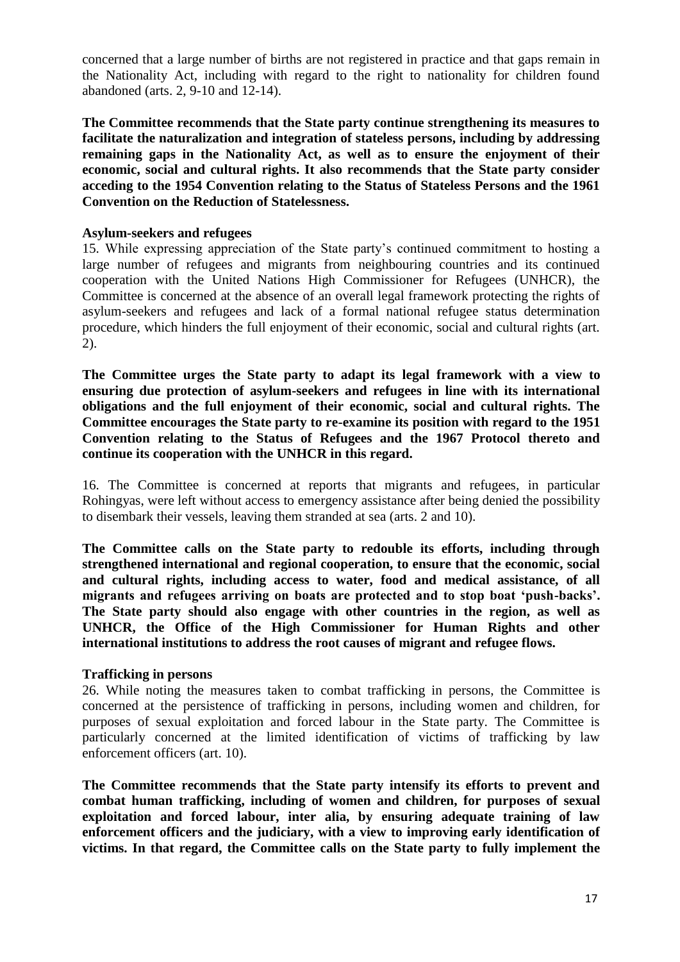concerned that a large number of births are not registered in practice and that gaps remain in the Nationality Act, including with regard to the right to nationality for children found abandoned (arts. 2, 9-10 and 12-14).

**The Committee recommends that the State party continue strengthening its measures to facilitate the naturalization and integration of stateless persons, including by addressing remaining gaps in the Nationality Act, as well as to ensure the enjoyment of their economic, social and cultural rights. It also recommends that the State party consider acceding to the 1954 Convention relating to the Status of Stateless Persons and the 1961 Convention on the Reduction of Statelessness.**

#### **Asylum-seekers and refugees**

15. While expressing appreciation of the State party's continued commitment to hosting a large number of refugees and migrants from neighbouring countries and its continued cooperation with the United Nations High Commissioner for Refugees (UNHCR), the Committee is concerned at the absence of an overall legal framework protecting the rights of asylum-seekers and refugees and lack of a formal national refugee status determination procedure, which hinders the full enjoyment of their economic, social and cultural rights (art. 2).

**The Committee urges the State party to adapt its legal framework with a view to ensuring due protection of asylum-seekers and refugees in line with its international obligations and the full enjoyment of their economic, social and cultural rights. The Committee encourages the State party to re-examine its position with regard to the 1951 Convention relating to the Status of Refugees and the 1967 Protocol thereto and continue its cooperation with the UNHCR in this regard.** 

16. The Committee is concerned at reports that migrants and refugees, in particular Rohingyas, were left without access to emergency assistance after being denied the possibility to disembark their vessels, leaving them stranded at sea (arts. 2 and 10).

**The Committee calls on the State party to redouble its efforts, including through strengthened international and regional cooperation, to ensure that the economic, social and cultural rights, including access to water, food and medical assistance, of all migrants and refugees arriving on boats are protected and to stop boat 'push-backs'. The State party should also engage with other countries in the region, as well as UNHCR, the Office of the High Commissioner for Human Rights and other international institutions to address the root causes of migrant and refugee flows.**

#### **Trafficking in persons**

26. While noting the measures taken to combat trafficking in persons, the Committee is concerned at the persistence of trafficking in persons, including women and children, for purposes of sexual exploitation and forced labour in the State party. The Committee is particularly concerned at the limited identification of victims of trafficking by law enforcement officers (art. 10).

**The Committee recommends that the State party intensify its efforts to prevent and combat human trafficking, including of women and children, for purposes of sexual exploitation and forced labour, inter alia, by ensuring adequate training of law enforcement officers and the judiciary, with a view to improving early identification of victims. In that regard, the Committee calls on the State party to fully implement the**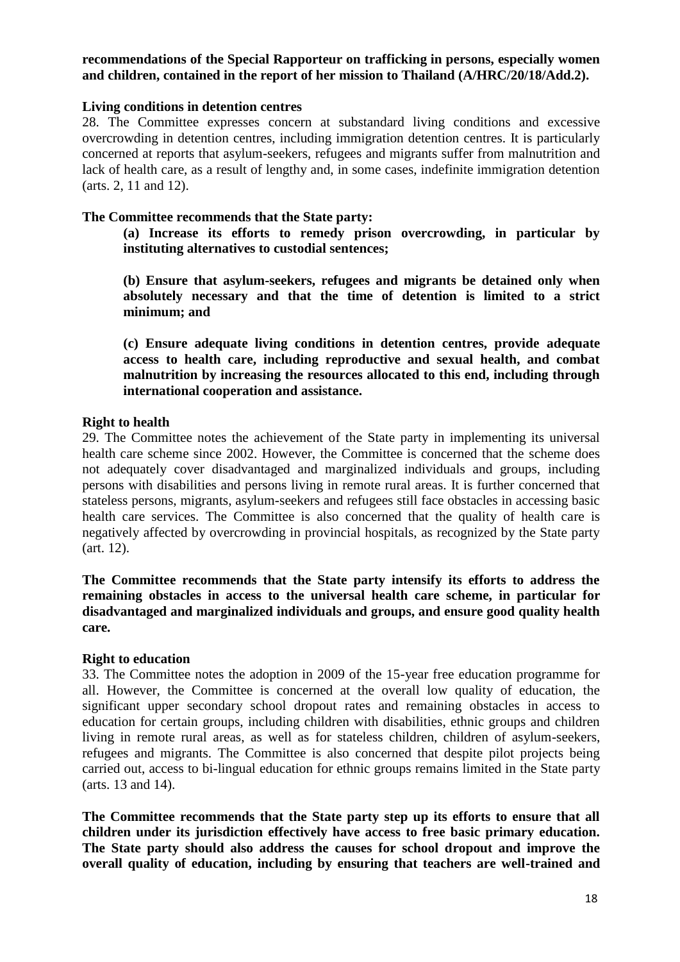#### **recommendations of the Special Rapporteur on trafficking in persons, especially women and children, contained in the report of her mission to Thailand (A/HRC/20/18/Add.2).**

#### **Living conditions in detention centres**

28. The Committee expresses concern at substandard living conditions and excessive overcrowding in detention centres, including immigration detention centres. It is particularly concerned at reports that asylum-seekers, refugees and migrants suffer from malnutrition and lack of health care, as a result of lengthy and, in some cases, indefinite immigration detention (arts. 2, 11 and 12).

#### **The Committee recommends that the State party:**

**(a) Increase its efforts to remedy prison overcrowding, in particular by instituting alternatives to custodial sentences;**

**(b) Ensure that asylum-seekers, refugees and migrants be detained only when absolutely necessary and that the time of detention is limited to a strict minimum; and**

**(c) Ensure adequate living conditions in detention centres, provide adequate access to health care, including reproductive and sexual health, and combat malnutrition by increasing the resources allocated to this end, including through international cooperation and assistance.**

# **Right to health**

29. The Committee notes the achievement of the State party in implementing its universal health care scheme since 2002. However, the Committee is concerned that the scheme does not adequately cover disadvantaged and marginalized individuals and groups, including persons with disabilities and persons living in remote rural areas. It is further concerned that stateless persons, migrants, asylum-seekers and refugees still face obstacles in accessing basic health care services. The Committee is also concerned that the quality of health care is negatively affected by overcrowding in provincial hospitals, as recognized by the State party (art. 12).

**The Committee recommends that the State party intensify its efforts to address the remaining obstacles in access to the universal health care scheme, in particular for disadvantaged and marginalized individuals and groups, and ensure good quality health care.**

#### **Right to education**

33. The Committee notes the adoption in 2009 of the 15-year free education programme for all. However, the Committee is concerned at the overall low quality of education, the significant upper secondary school dropout rates and remaining obstacles in access to education for certain groups, including children with disabilities, ethnic groups and children living in remote rural areas, as well as for stateless children, children of asylum-seekers, refugees and migrants. The Committee is also concerned that despite pilot projects being carried out, access to bi-lingual education for ethnic groups remains limited in the State party (arts. 13 and 14).

**The Committee recommends that the State party step up its efforts to ensure that all children under its jurisdiction effectively have access to free basic primary education. The State party should also address the causes for school dropout and improve the overall quality of education, including by ensuring that teachers are well-trained and**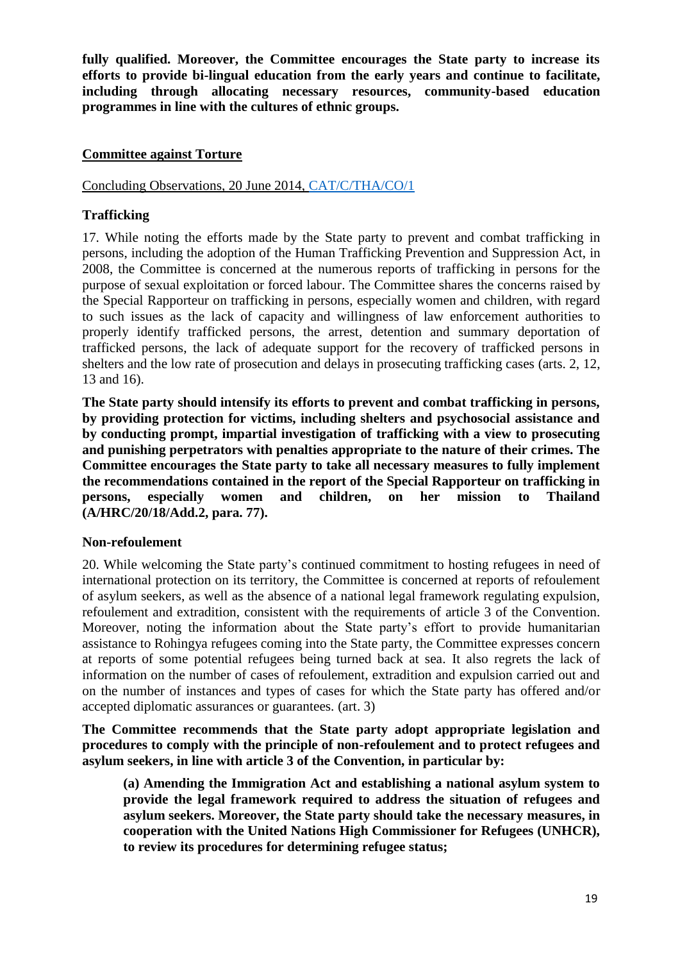**fully qualified. Moreover, the Committee encourages the State party to increase its efforts to provide bi-lingual education from the early years and continue to facilitate, including through allocating necessary resources, community-based education programmes in line with the cultures of ethnic groups.**

# **Committee against Torture**

# Concluding Observations, 20 June 2014, [CAT/C/THA/CO/1](http://docstore.ohchr.org/SelfServices/FilesHandler.ashx?enc=6QkG1d%2fPPRiCAqhKb7yhsk2oy72JlefPnicA9mLXtq%2b9%2f5hbXwg%2b5JWNDr0RdTusMRgzu6yegqVTu8QgwbPcc9dIir1Tfe5g9kMOTJykFvZmYIG7TVsYdYCm2OgOMRJK)

# **Trafficking**

17. While noting the efforts made by the State party to prevent and combat trafficking in persons, including the adoption of the Human Trafficking Prevention and Suppression Act, in 2008, the Committee is concerned at the numerous reports of trafficking in persons for the purpose of sexual exploitation or forced labour. The Committee shares the concerns raised by the Special Rapporteur on trafficking in persons, especially women and children, with regard to such issues as the lack of capacity and willingness of law enforcement authorities to properly identify trafficked persons, the arrest, detention and summary deportation of trafficked persons, the lack of adequate support for the recovery of trafficked persons in shelters and the low rate of prosecution and delays in prosecuting trafficking cases (arts. 2, 12, 13 and 16).

**The State party should intensify its efforts to prevent and combat trafficking in persons, by providing protection for victims, including shelters and psychosocial assistance and by conducting prompt, impartial investigation of trafficking with a view to prosecuting and punishing perpetrators with penalties appropriate to the nature of their crimes. The Committee encourages the State party to take all necessary measures to fully implement the recommendations contained in the report of the Special Rapporteur on trafficking in persons, especially women and children, on her mission to Thailand (A/HRC/20/18/Add.2, para. 77).**

#### **Non-refoulement**

20. While welcoming the State party's continued commitment to hosting refugees in need of international protection on its territory, the Committee is concerned at reports of refoulement of asylum seekers, as well as the absence of a national legal framework regulating expulsion, refoulement and extradition, consistent with the requirements of article 3 of the Convention. Moreover, noting the information about the State party's effort to provide humanitarian assistance to Rohingya refugees coming into the State party, the Committee expresses concern at reports of some potential refugees being turned back at sea. It also regrets the lack of information on the number of cases of refoulement, extradition and expulsion carried out and on the number of instances and types of cases for which the State party has offered and/or accepted diplomatic assurances or guarantees. (art. 3)

**The Committee recommends that the State party adopt appropriate legislation and procedures to comply with the principle of non-refoulement and to protect refugees and asylum seekers, in line with article 3 of the Convention, in particular by:** 

**(a) Amending the Immigration Act and establishing a national asylum system to provide the legal framework required to address the situation of refugees and asylum seekers. Moreover, the State party should take the necessary measures, in cooperation with the United Nations High Commissioner for Refugees (UNHCR), to review its procedures for determining refugee status;**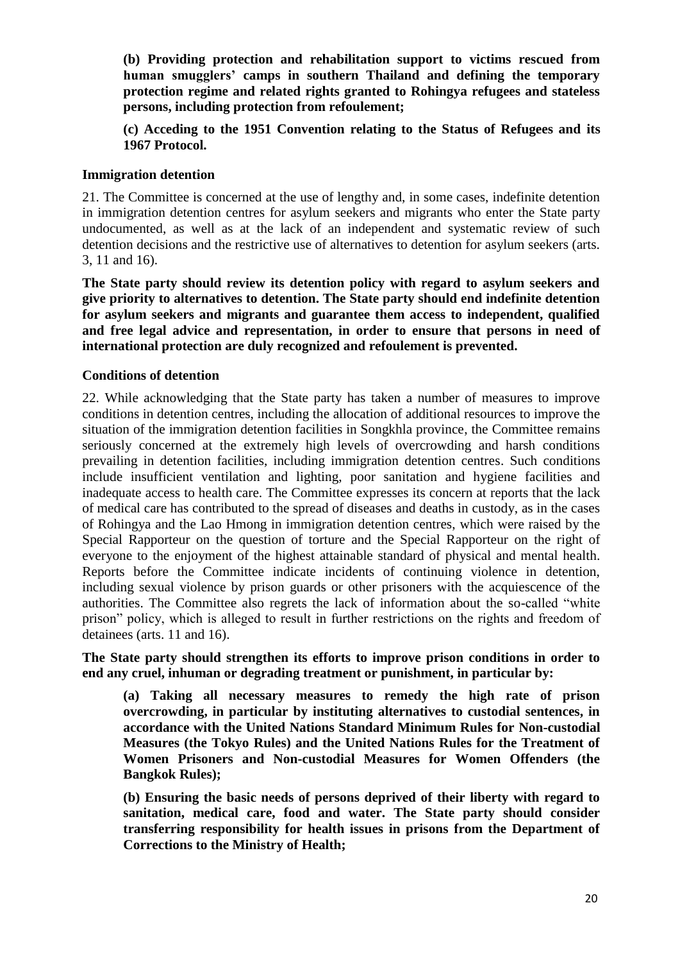**(b) Providing protection and rehabilitation support to victims rescued from human smugglers' camps in southern Thailand and defining the temporary protection regime and related rights granted to Rohingya refugees and stateless persons, including protection from refoulement;**

**(c) Acceding to the 1951 Convention relating to the Status of Refugees and its 1967 Protocol.** 

# **Immigration detention**

21. The Committee is concerned at the use of lengthy and, in some cases, indefinite detention in immigration detention centres for asylum seekers and migrants who enter the State party undocumented, as well as at the lack of an independent and systematic review of such detention decisions and the restrictive use of alternatives to detention for asylum seekers (arts. 3, 11 and 16).

**The State party should review its detention policy with regard to asylum seekers and give priority to alternatives to detention. The State party should end indefinite detention for asylum seekers and migrants and guarantee them access to independent, qualified and free legal advice and representation, in order to ensure that persons in need of international protection are duly recognized and refoulement is prevented.**

# **Conditions of detention**

22. While acknowledging that the State party has taken a number of measures to improve conditions in detention centres, including the allocation of additional resources to improve the situation of the immigration detention facilities in Songkhla province, the Committee remains seriously concerned at the extremely high levels of overcrowding and harsh conditions prevailing in detention facilities, including immigration detention centres. Such conditions include insufficient ventilation and lighting, poor sanitation and hygiene facilities and inadequate access to health care. The Committee expresses its concern at reports that the lack of medical care has contributed to the spread of diseases and deaths in custody, as in the cases of Rohingya and the Lao Hmong in immigration detention centres, which were raised by the Special Rapporteur on the question of torture and the Special Rapporteur on the right of everyone to the enjoyment of the highest attainable standard of physical and mental health. Reports before the Committee indicate incidents of continuing violence in detention, including sexual violence by prison guards or other prisoners with the acquiescence of the authorities. The Committee also regrets the lack of information about the so-called "white prison" policy, which is alleged to result in further restrictions on the rights and freedom of detainees (arts. 11 and 16).

# **The State party should strengthen its efforts to improve prison conditions in order to end any cruel, inhuman or degrading treatment or punishment, in particular by:**

**(a) Taking all necessary measures to remedy the high rate of prison overcrowding, in particular by instituting alternatives to custodial sentences, in accordance with the United Nations Standard Minimum Rules for Non-custodial Measures (the Tokyo Rules) and the United Nations Rules for the Treatment of Women Prisoners and Non-custodial Measures for Women Offenders (the Bangkok Rules);**

**(b) Ensuring the basic needs of persons deprived of their liberty with regard to sanitation, medical care, food and water. The State party should consider transferring responsibility for health issues in prisons from the Department of Corrections to the Ministry of Health;**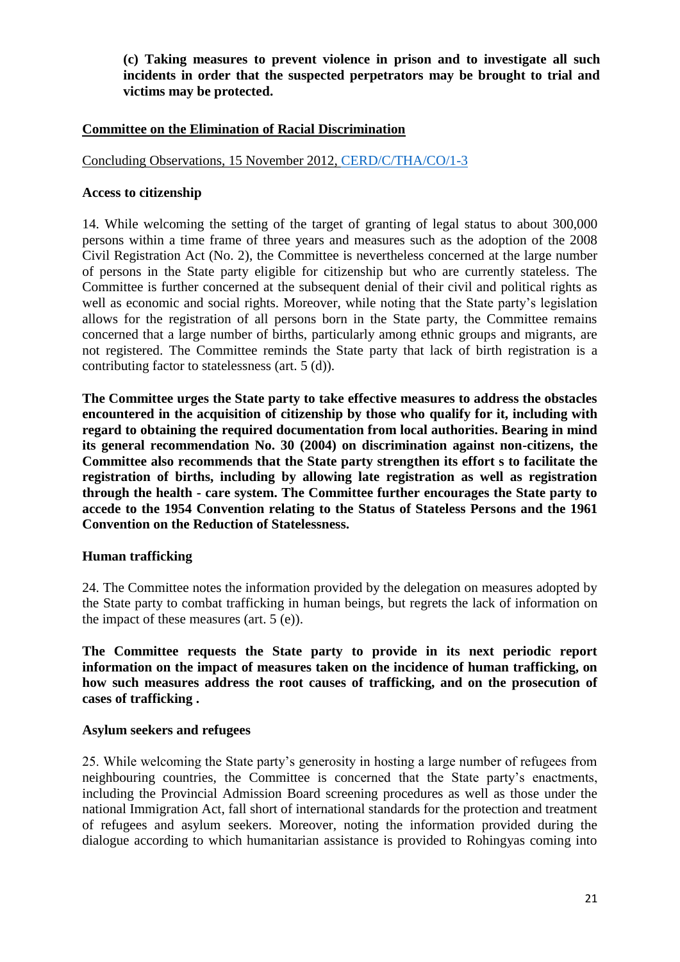**(c) Taking measures to prevent violence in prison and to investigate all such incidents in order that the suspected perpetrators may be brought to trial and victims may be protected.**

#### **Committee on the Elimination of Racial Discrimination**

Concluding Observations, 15 November 2012, [CERD/C/THA/CO/1-3](http://docstore.ohchr.org/SelfServices/FilesHandler.ashx?enc=6QkG1d%2fPPRiCAqhKb7yhsgLiCJ2mefI3CDJnlaognF25OFZV1wJUaYBX%2fVdP%2bK73vVgtZyes%2bbee2OVtuZ1DfjwX7VfIquzN%2bxK%2fP9VxvAOeUcBbTbhd3pDLXmnszhKn)

#### **Access to citizenship**

14. While welcoming the setting of the target of granting of legal status to about 300,000 persons within a time frame of three years and measures such as the adoption of the 2008 Civil Registration Act (No. 2), the Committee is nevertheless concerned at the large number of persons in the State party eligible for citizenship but who are currently stateless. The Committee is further concerned at the subsequent denial of their civil and political rights as well as economic and social rights. Moreover, while noting that the State party's legislation allows for the registration of all persons born in the State party, the Committee remains concerned that a large number of births, particularly among ethnic groups and migrants, are not registered. The Committee reminds the State party that lack of birth registration is a contributing factor to statelessness (art. 5 (d)).

**The Committee urges the State party to take effective measures to address the obstacles encountered in the acquisition of citizenship by those who qualify for it, including with regard to obtaining the required documentation from local authorities. Bearing in mind its general recommendation No. 30 (2004) on discrimination against non-citizens, the Committee also recommends that the State party strengthen its effort s to facilitate the registration of births, including by allowing late registration as well as registration through the health - care system. The Committee further encourages the State party to accede to the 1954 Convention relating to the Status of Stateless Persons and the 1961 Convention on the Reduction of Statelessness.**

#### **Human trafficking**

24. The Committee notes the information provided by the delegation on measures adopted by the State party to combat trafficking in human beings, but regrets the lack of information on the impact of these measures (art. 5 (e)).

**The Committee requests the State party to provide in its next periodic report information on the impact of measures taken on the incidence of human trafficking, on how such measures address the root causes of trafficking, and on the prosecution of cases of trafficking .**

#### **Asylum seekers and refugees**

25. While welcoming the State party's generosity in hosting a large number of refugees from neighbouring countries, the Committee is concerned that the State party's enactments, including the Provincial Admission Board screening procedures as well as those under the national Immigration Act, fall short of international standards for the protection and treatment of refugees and asylum seekers. Moreover, noting the information provided during the dialogue according to which humanitarian assistance is provided to Rohingyas coming into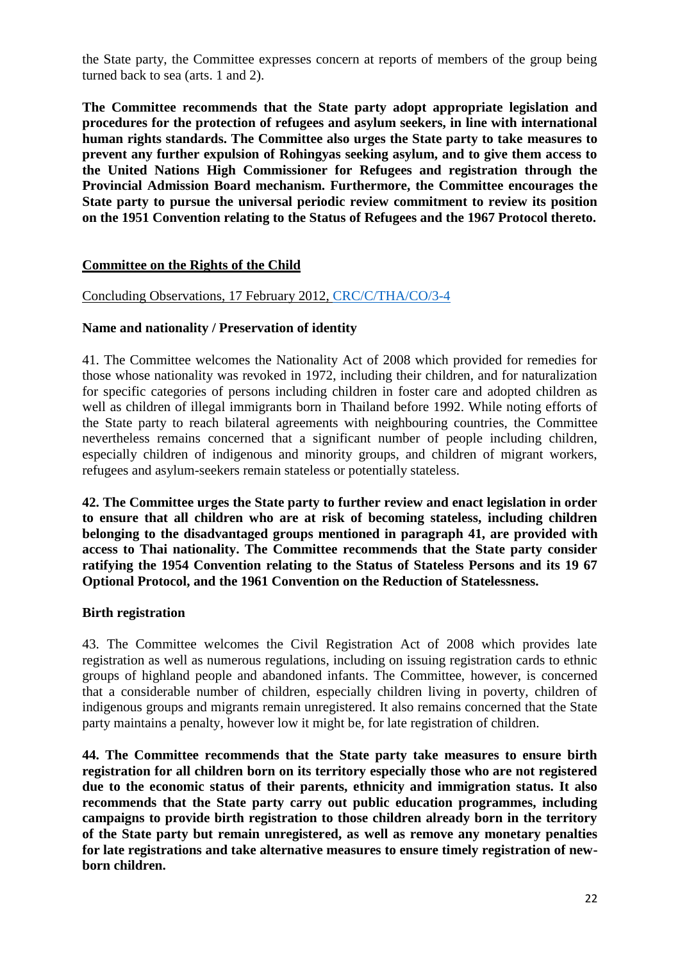the State party, the Committee expresses concern at reports of members of the group being turned back to sea (arts. 1 and 2).

**The Committee recommends that the State party adopt appropriate legislation and procedures for the protection of refugees and asylum seekers, in line with international human rights standards. The Committee also urges the State party to take measures to prevent any further expulsion of Rohingyas seeking asylum, and to give them access to the United Nations High Commissioner for Refugees and registration through the Provincial Admission Board mechanism. Furthermore, the Committee encourages the State party to pursue the universal periodic review commitment to review its position on the 1951 Convention relating to the Status of Refugees and the 1967 Protocol thereto.**

# **Committee on the Rights of the Child**

#### Concluding Observations, 17 February 2012, [CRC/C/THA/CO/3-4](http://docstore.ohchr.org/SelfServices/FilesHandler.ashx?enc=6QkG1d%2fPPRiCAqhKb7yhsuFzYqZXISqHtU6t9n3VzIPL%2bau1egCFr1wT8QaGayueQj3nZvxvYFH8XMo3u6ualVwoKco0ZN%2fMkEB%2f4v5%2fUVeaOktmHQL121Xy664cFf%2bM)

#### **Name and nationality / Preservation of identity**

41. The Committee welcomes the Nationality Act of 2008 which provided for remedies for those whose nationality was revoked in 1972, including their children, and for naturalization for specific categories of persons including children in foster care and adopted children as well as children of illegal immigrants born in Thailand before 1992. While noting efforts of the State party to reach bilateral agreements with neighbouring countries, the Committee nevertheless remains concerned that a significant number of people including children, especially children of indigenous and minority groups, and children of migrant workers, refugees and asylum-seekers remain stateless or potentially stateless.

**42. The Committee urges the State party to further review and enact legislation in order to ensure that all children who are at risk of becoming stateless, including children belonging to the disadvantaged groups mentioned in paragraph 41, are provided with access to Thai nationality. The Committee recommends that the State party consider ratifying the 1954 Convention relating to the Status of Stateless Persons and its 19 67 Optional Protocol, and the 1961 Convention on the Reduction of Statelessness.** 

#### **Birth registration**

43. The Committee welcomes the Civil Registration Act of 2008 which provides late registration as well as numerous regulations, including on issuing registration cards to ethnic groups of highland people and abandoned infants. The Committee, however, is concerned that a considerable number of children, especially children living in poverty, children of indigenous groups and migrants remain unregistered. It also remains concerned that the State party maintains a penalty, however low it might be, for late registration of children.

**44. The Committee recommends that the State party take measures to ensure birth registration for all children born on its territory especially those who are not registered due to the economic status of their parents, ethnicity and immigration status. It also recommends that the State party carry out public education programmes, including campaigns to provide birth registration to those children already born in the territory of the State party but remain unregistered, as well as remove any monetary penalties for late registrations and take alternative measures to ensure timely registration of newborn children.**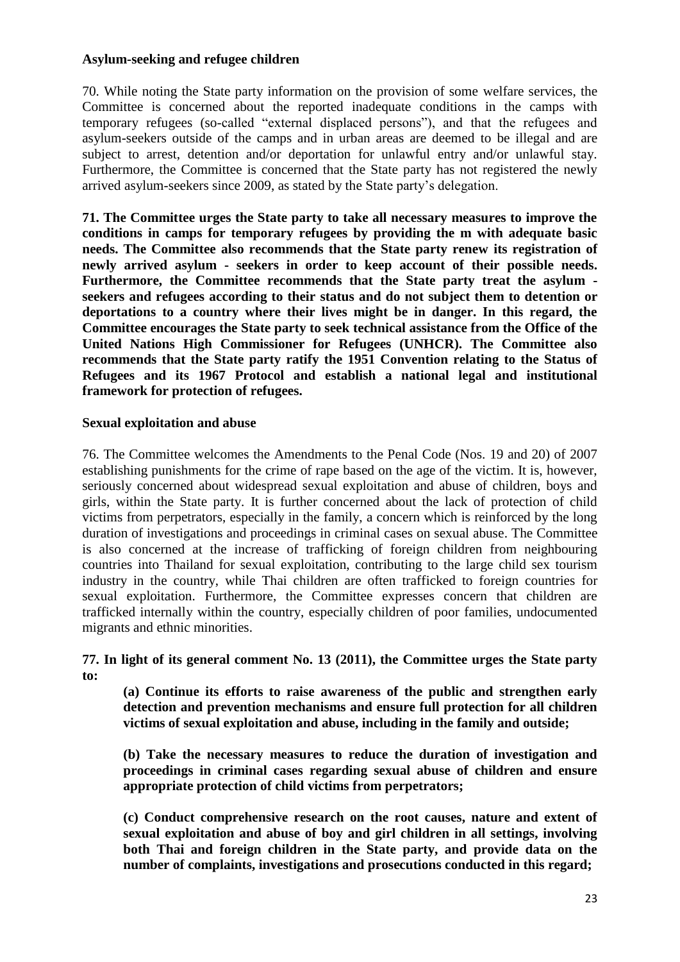#### **Asylum-seeking and refugee children**

70. While noting the State party information on the provision of some welfare services, the Committee is concerned about the reported inadequate conditions in the camps with temporary refugees (so-called "external displaced persons"), and that the refugees and asylum-seekers outside of the camps and in urban areas are deemed to be illegal and are subject to arrest, detention and/or deportation for unlawful entry and/or unlawful stay. Furthermore, the Committee is concerned that the State party has not registered the newly arrived asylum-seekers since 2009, as stated by the State party's delegation.

**71. The Committee urges the State party to take all necessary measures to improve the conditions in camps for temporary refugees by providing the m with adequate basic needs. The Committee also recommends that the State party renew its registration of newly arrived asylum - seekers in order to keep account of their possible needs. Furthermore, the Committee recommends that the State party treat the asylum seekers and refugees according to their status and do not subject them to detention or deportations to a country where their lives might be in danger. In this regard, the Committee encourages the State party to seek technical assistance from the Office of the United Nations High Commissioner for Refugees (UNHCR). The Committee also recommends that the State party ratify the 1951 Convention relating to the Status of Refugees and its 1967 Protocol and establish a national legal and institutional framework for protection of refugees.**

#### **Sexual exploitation and abuse**

76. The Committee welcomes the Amendments to the Penal Code (Nos. 19 and 20) of 2007 establishing punishments for the crime of rape based on the age of the victim. It is, however, seriously concerned about widespread sexual exploitation and abuse of children, boys and girls, within the State party. It is further concerned about the lack of protection of child victims from perpetrators, especially in the family, a concern which is reinforced by the long duration of investigations and proceedings in criminal cases on sexual abuse. The Committee is also concerned at the increase of trafficking of foreign children from neighbouring countries into Thailand for sexual exploitation, contributing to the large child sex tourism industry in the country, while Thai children are often trafficked to foreign countries for sexual exploitation. Furthermore, the Committee expresses concern that children are trafficked internally within the country, especially children of poor families, undocumented migrants and ethnic minorities.

# **77. In light of its general comment No. 13 (2011), the Committee urges the State party to:**

**(a) Continue its efforts to raise awareness of the public and strengthen early detection and prevention mechanisms and ensure full protection for all children victims of sexual exploitation and abuse, including in the family and outside;**

**(b) Take the necessary measures to reduce the duration of investigation and proceedings in criminal cases regarding sexual abuse of children and ensure appropriate protection of child victims from perpetrators;**

**(c) Conduct comprehensive research on the root causes, nature and extent of sexual exploitation and abuse of boy and girl children in all settings, involving both Thai and foreign children in the State party, and provide data on the number of complaints, investigations and prosecutions conducted in this regard;**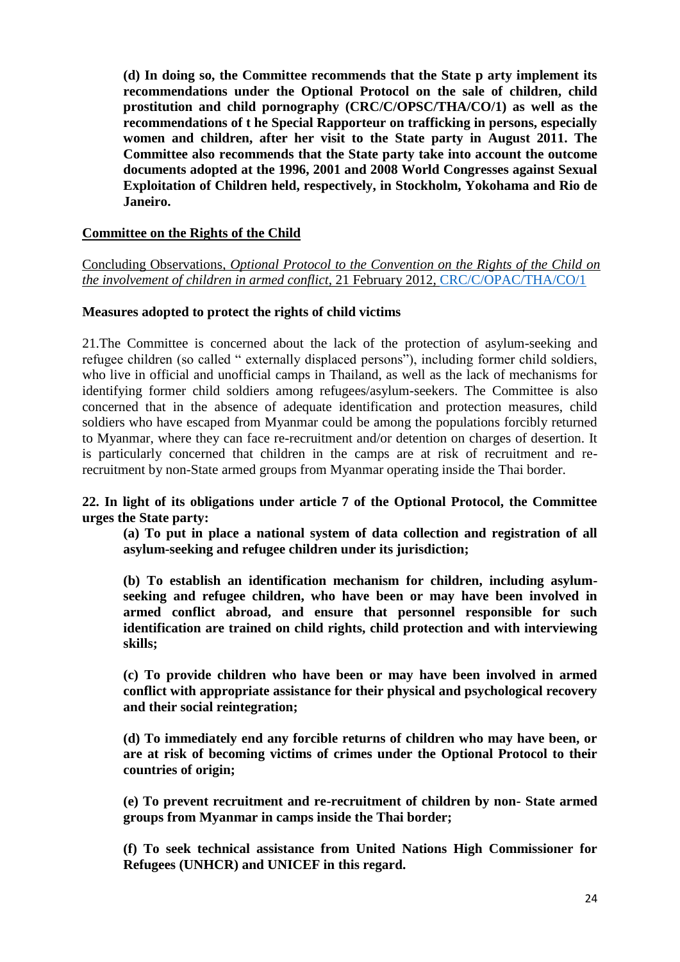**(d) In doing so, the Committee recommends that the State p arty implement its recommendations under the Optional Protocol on the sale of children, child prostitution and child pornography (CRC/C/OPSC/THA/CO/1) as well as the recommendations of t he Special Rapporteur on trafficking in persons, especially women and children, after her visit to the State party in August 2011. The Committee also recommends that the State party take into account the outcome documents adopted at the 1996, 2001 and 2008 World Congresses against Sexual Exploitation of Children held, respectively, in Stockholm, Yokohama and Rio de Janeiro.** 

#### **Committee on the Rights of the Child**

Concluding Observations, *Optional Protocol to the Convention on the Rights of the Child on the involvement of children in armed conflict*, 21 February 2012, [CRC/C/OPAC/THA/CO/1](http://docstore.ohchr.org/SelfServices/FilesHandler.ashx?enc=6QkG1d%2fPPRiCAqhKb7yhsq3bGBgj7nnUgqOo%2fynBtO%2fbqHU0lAzjJxUD%2b35X94f0b56KIFKYBiWiGthmHtVm3FEL309%2b%2bPt3Hhu7QdvUK8nrQawQIFmtfHrEF%2fihm6tTR%2b2NnKDGaVQkRRjuZRG9BA%3d%3d)

#### **Measures adopted to protect the rights of child victims**

21.The Committee is concerned about the lack of the protection of asylum-seeking and refugee children (so called " externally displaced persons"), including former child soldiers, who live in official and unofficial camps in Thailand, as well as the lack of mechanisms for identifying former child soldiers among refugees/asylum-seekers. The Committee is also concerned that in the absence of adequate identification and protection measures, child soldiers who have escaped from Myanmar could be among the populations forcibly returned to Myanmar, where they can face re-recruitment and/or detention on charges of desertion. It is particularly concerned that children in the camps are at risk of recruitment and rerecruitment by non-State armed groups from Myanmar operating inside the Thai border.

**22. In light of its obligations under article 7 of the Optional Protocol, the Committee urges the State party:** 

**(a) To put in place a national system of data collection and registration of all asylum-seeking and refugee children under its jurisdiction;**

**(b) To establish an identification mechanism for children, including asylumseeking and refugee children, who have been or may have been involved in armed conflict abroad, and ensure that personnel responsible for such identification are trained on child rights, child protection and with interviewing skills;**

**(c) To provide children who have been or may have been involved in armed conflict with appropriate assistance for their physical and psychological recovery and their social reintegration;**

**(d) To immediately end any forcible returns of children who may have been, or are at risk of becoming victims of crimes under the Optional Protocol to their countries of origin;**

**(e) To prevent recruitment and re-recruitment of children by non- State armed groups from Myanmar in camps inside the Thai border;**

**(f) To seek technical assistance from United Nations High Commissioner for Refugees (UNHCR) and UNICEF in this regard.**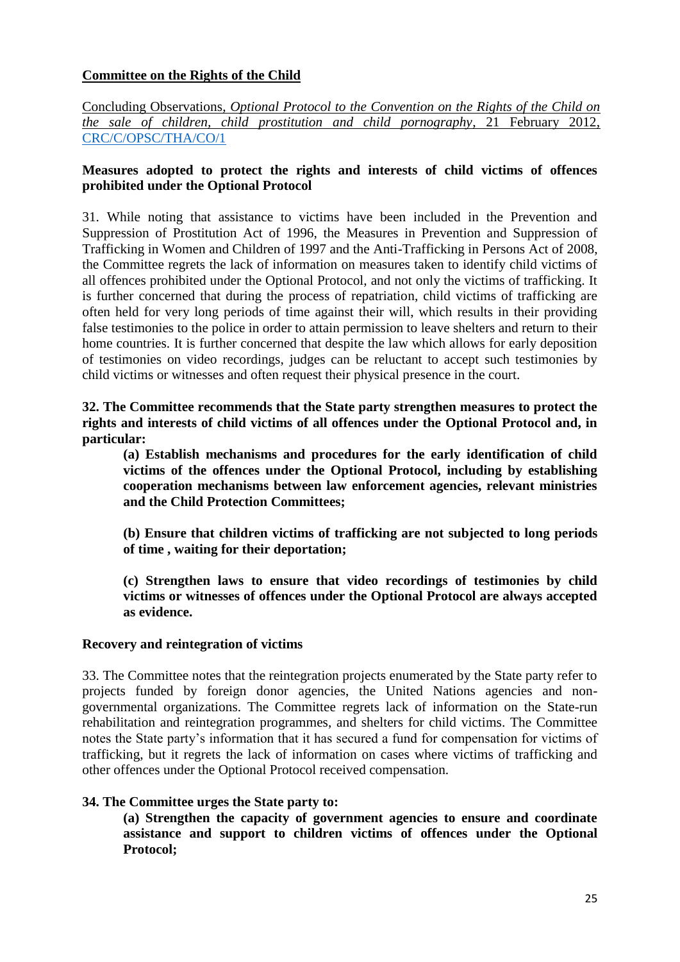# **Committee on the Rights of the Child**

Concluding Observations, *Optional Protocol to the Convention on the Rights of the Child on the sale of children, child prostitution and child pornography*, 21 February 2012, [CRC/C/OPSC/THA/CO/1](http://docstore.ohchr.org/SelfServices/FilesHandler.ashx?enc=6QkG1d%2fPPRiCAqhKb7yhsrHPiif0%2f1kumQo%2bD50%2f9nZTMtAm8bF5Ft5yStrHd%2fAEImi2n07Odi19AWyYfnpd%2bEBoHY6p%2bp8tG2XLLC5fhSub7Wo6XSHUEDiybwxWR3Tu3f8mqjv9EPXvUMh5gUAojw%3d%3d)

#### **Measures adopted to protect the rights and interests of child victims of offences prohibited under the Optional Protocol**

31. While noting that assistance to victims have been included in the Prevention and Suppression of Prostitution Act of 1996, the Measures in Prevention and Suppression of Trafficking in Women and Children of 1997 and the Anti-Trafficking in Persons Act of 2008, the Committee regrets the lack of information on measures taken to identify child victims of all offences prohibited under the Optional Protocol, and not only the victims of trafficking. It is further concerned that during the process of repatriation, child victims of trafficking are often held for very long periods of time against their will, which results in their providing false testimonies to the police in order to attain permission to leave shelters and return to their home countries. It is further concerned that despite the law which allows for early deposition of testimonies on video recordings, judges can be reluctant to accept such testimonies by child victims or witnesses and often request their physical presence in the court.

**32. The Committee recommends that the State party strengthen measures to protect the rights and interests of child victims of all offences under the Optional Protocol and, in particular:**

**(a) Establish mechanisms and procedures for the early identification of child victims of the offences under the Optional Protocol, including by establishing cooperation mechanisms between law enforcement agencies, relevant ministries and the Child Protection Committees;**

**(b) Ensure that children victims of trafficking are not subjected to long periods of time , waiting for their deportation;**

**(c) Strengthen laws to ensure that video recordings of testimonies by child victims or witnesses of offences under the Optional Protocol are always accepted as evidence.** 

#### **Recovery and reintegration of victims**

33. The Committee notes that the reintegration projects enumerated by the State party refer to projects funded by foreign donor agencies, the United Nations agencies and nongovernmental organizations. The Committee regrets lack of information on the State-run rehabilitation and reintegration programmes, and shelters for child victims. The Committee notes the State party's information that it has secured a fund for compensation for victims of trafficking, but it regrets the lack of information on cases where victims of trafficking and other offences under the Optional Protocol received compensation.

#### **34. The Committee urges the State party to:**

**(a) Strengthen the capacity of government agencies to ensure and coordinate assistance and support to children victims of offences under the Optional Protocol;**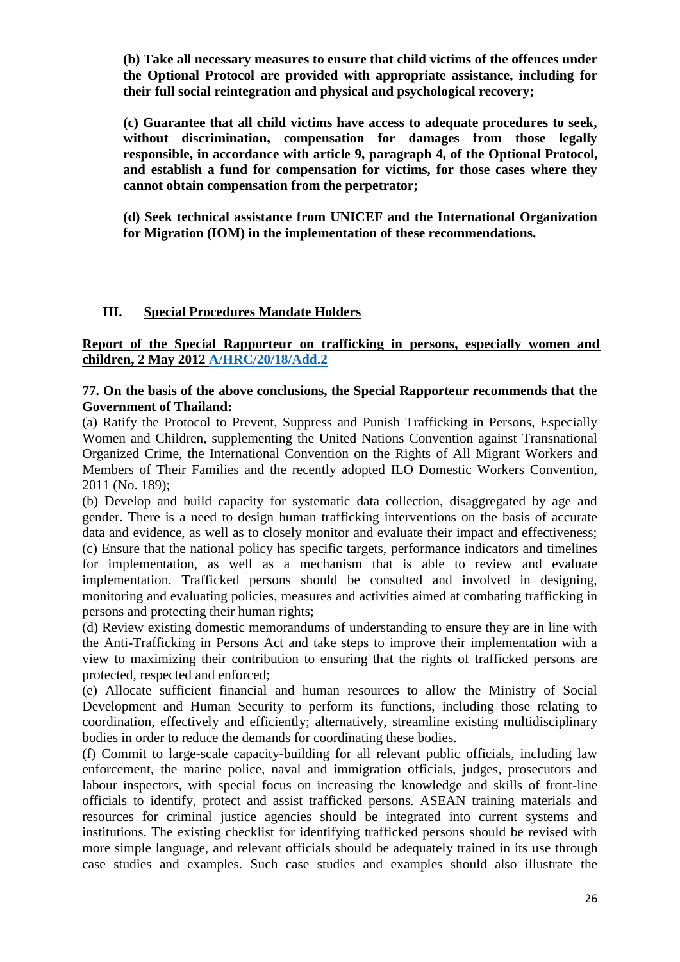**(b) Take all necessary measures to ensure that child victims of the offences under the Optional Protocol are provided with appropriate assistance, including for their full social reintegration and physical and psychological recovery;** 

**(c) Guarantee that all child victims have access to adequate procedures to seek, without discrimination, compensation for damages from those legally responsible, in accordance with article 9, paragraph 4, of the Optional Protocol, and establish a fund for compensation for victims, for those cases where they cannot obtain compensation from the perpetrator;** 

**(d) Seek technical assistance from UNICEF and the International Organization for Migration (IOM) in the implementation of these recommendations.**

# **III. Special Procedures Mandate Holders**

# **Report of the Special Rapporteur on trafficking in persons, especially women and children, 2 May 2012 [A/HRC/20/18/Add.2](http://daccess-dds-ny.un.org/doc/UNDOC/GEN/G12/133/48/PDF/G1213348.pdf?OpenElement)**

#### **77. On the basis of the above conclusions, the Special Rapporteur recommends that the Government of Thailand:**

(a) Ratify the Protocol to Prevent, Suppress and Punish Trafficking in Persons, Especially Women and Children, supplementing the United Nations Convention against Transnational Organized Crime, the International Convention on the Rights of All Migrant Workers and Members of Their Families and the recently adopted ILO Domestic Workers Convention, 2011 (No. 189);

(b) Develop and build capacity for systematic data collection, disaggregated by age and gender. There is a need to design human trafficking interventions on the basis of accurate data and evidence, as well as to closely monitor and evaluate their impact and effectiveness; (c) Ensure that the national policy has specific targets, performance indicators and timelines for implementation, as well as a mechanism that is able to review and evaluate implementation. Trafficked persons should be consulted and involved in designing, monitoring and evaluating policies, measures and activities aimed at combating trafficking in persons and protecting their human rights;

(d) Review existing domestic memorandums of understanding to ensure they are in line with the Anti-Trafficking in Persons Act and take steps to improve their implementation with a view to maximizing their contribution to ensuring that the rights of trafficked persons are protected, respected and enforced;

(e) Allocate sufficient financial and human resources to allow the Ministry of Social Development and Human Security to perform its functions, including those relating to coordination, effectively and efficiently; alternatively, streamline existing multidisciplinary bodies in order to reduce the demands for coordinating these bodies.

(f) Commit to large-scale capacity-building for all relevant public officials, including law enforcement, the marine police, naval and immigration officials, judges, prosecutors and labour inspectors, with special focus on increasing the knowledge and skills of front-line officials to identify, protect and assist trafficked persons. ASEAN training materials and resources for criminal justice agencies should be integrated into current systems and institutions. The existing checklist for identifying trafficked persons should be revised with more simple language, and relevant officials should be adequately trained in its use through case studies and examples. Such case studies and examples should also illustrate the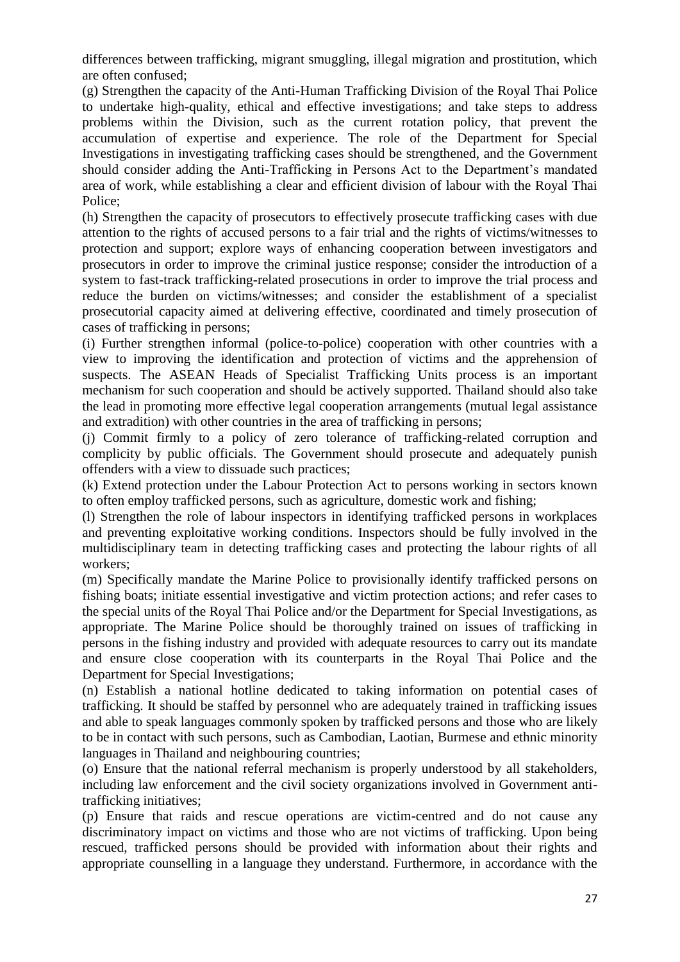differences between trafficking, migrant smuggling, illegal migration and prostitution, which are often confused;

(g) Strengthen the capacity of the Anti-Human Trafficking Division of the Royal Thai Police to undertake high-quality, ethical and effective investigations; and take steps to address problems within the Division, such as the current rotation policy, that prevent the accumulation of expertise and experience. The role of the Department for Special Investigations in investigating trafficking cases should be strengthened, and the Government should consider adding the Anti-Trafficking in Persons Act to the Department's mandated area of work, while establishing a clear and efficient division of labour with the Royal Thai Police;

(h) Strengthen the capacity of prosecutors to effectively prosecute trafficking cases with due attention to the rights of accused persons to a fair trial and the rights of victims/witnesses to protection and support; explore ways of enhancing cooperation between investigators and prosecutors in order to improve the criminal justice response; consider the introduction of a system to fast-track trafficking-related prosecutions in order to improve the trial process and reduce the burden on victims/witnesses; and consider the establishment of a specialist prosecutorial capacity aimed at delivering effective, coordinated and timely prosecution of cases of trafficking in persons;

(i) Further strengthen informal (police-to-police) cooperation with other countries with a view to improving the identification and protection of victims and the apprehension of suspects. The ASEAN Heads of Specialist Trafficking Units process is an important mechanism for such cooperation and should be actively supported. Thailand should also take the lead in promoting more effective legal cooperation arrangements (mutual legal assistance and extradition) with other countries in the area of trafficking in persons;

(j) Commit firmly to a policy of zero tolerance of trafficking-related corruption and complicity by public officials. The Government should prosecute and adequately punish offenders with a view to dissuade such practices;

(k) Extend protection under the Labour Protection Act to persons working in sectors known to often employ trafficked persons, such as agriculture, domestic work and fishing;

(l) Strengthen the role of labour inspectors in identifying trafficked persons in workplaces and preventing exploitative working conditions. Inspectors should be fully involved in the multidisciplinary team in detecting trafficking cases and protecting the labour rights of all workers;

(m) Specifically mandate the Marine Police to provisionally identify trafficked persons on fishing boats; initiate essential investigative and victim protection actions; and refer cases to the special units of the Royal Thai Police and/or the Department for Special Investigations, as appropriate. The Marine Police should be thoroughly trained on issues of trafficking in persons in the fishing industry and provided with adequate resources to carry out its mandate and ensure close cooperation with its counterparts in the Royal Thai Police and the Department for Special Investigations;

(n) Establish a national hotline dedicated to taking information on potential cases of trafficking. It should be staffed by personnel who are adequately trained in trafficking issues and able to speak languages commonly spoken by trafficked persons and those who are likely to be in contact with such persons, such as Cambodian, Laotian, Burmese and ethnic minority languages in Thailand and neighbouring countries;

(o) Ensure that the national referral mechanism is properly understood by all stakeholders, including law enforcement and the civil society organizations involved in Government antitrafficking initiatives;

(p) Ensure that raids and rescue operations are victim-centred and do not cause any discriminatory impact on victims and those who are not victims of trafficking. Upon being rescued, trafficked persons should be provided with information about their rights and appropriate counselling in a language they understand. Furthermore, in accordance with the